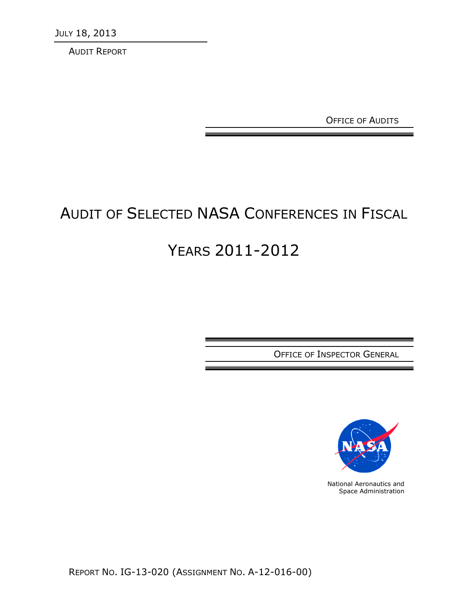JULY 18, 2013

AUDIT REPORT

OFFICE OF AUDITS

# AUDIT OF SELECTED NASA CONFERENCES IN FISCAL

# YEARS 2011-2012

OFFICE OF INSPECTOR GENERAL



National Aeronautics and Space Administration

REPORT NO. IG-13-020 (ASSIGNMENT NO. A-12-016-00)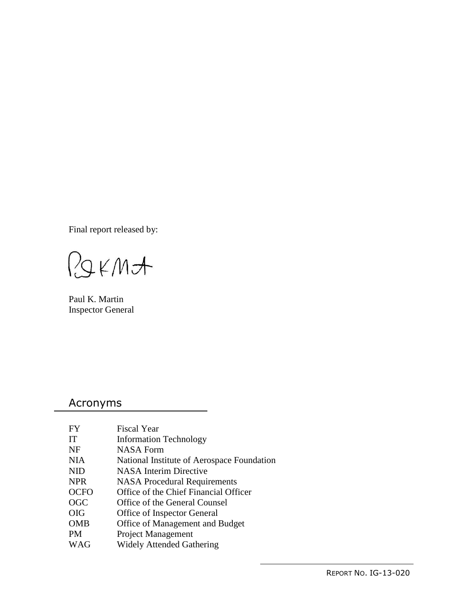Final report released by:

RIKMA

Paul K. Martin Inspector General

## Acronyms

| <b>FY</b>   | <b>Fiscal Year</b>                         |
|-------------|--------------------------------------------|
| IT          | <b>Information Technology</b>              |
| <b>NF</b>   | <b>NASA Form</b>                           |
| <b>NIA</b>  | National Institute of Aerospace Foundation |
| <b>NID</b>  | <b>NASA</b> Interim Directive              |
| <b>NPR</b>  | <b>NASA</b> Procedural Requirements        |
| <b>OCFO</b> | Office of the Chief Financial Officer      |
| <b>OGC</b>  | Office of the General Counsel              |
| <b>OIG</b>  | Office of Inspector General                |
| <b>OMB</b>  | Office of Management and Budget            |
| PM          | <b>Project Management</b>                  |
| WAG         | <b>Widely Attended Gathering</b>           |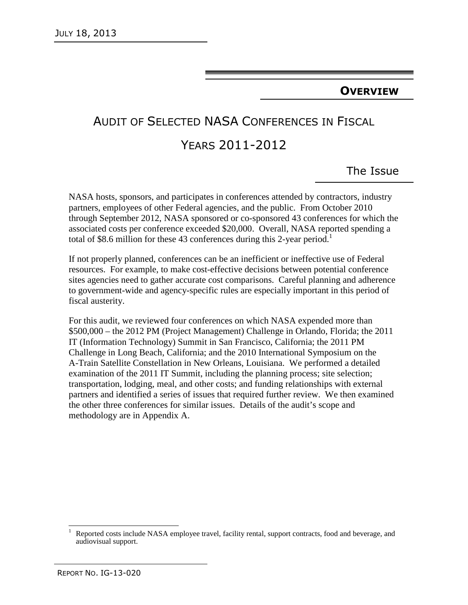#### **OVERVIEW**

## AUDIT OF SELECTED NASA CONFERENCES IN FISCAL

## YEARS 2011-2012

The Issue

NASA hosts, sponsors, and participates in conferences attended by contractors, industry partners, employees of other Federal agencies, and the public. From October 2010 through September 2012, NASA sponsored or co-sponsored 43 conferences for which the associated costs per conference exceeded \$20,000. Overall, NASA reported spending a total of \$8.6 million for these 43 conferences during this 2-year period.<sup>1</sup>

If not properly planned, conferences can be an inefficient or ineffective use of Federal resources. For example, to make cost-effective decisions between potential conference sites agencies need to gather accurate cost comparisons. Careful planning and adherence to government-wide and agency-specific rules are especially important in this period of fiscal austerity.

For this audit, we reviewed four conferences on which NASA expended more than \$500,000 – the 2012 PM (Project Management) Challenge in Orlando, Florida; the 2011 IT (Information Technology) Summit in San Francisco, California; the 2011 PM Challenge in Long Beach, California; and the 2010 International Symposium on the A-Train Satellite Constellation in New Orleans, Louisiana. We performed a detailed examination of the 2011 IT Summit, including the planning process; site selection; transportation, lodging, meal, and other costs; and funding relationships with external partners and identified a series of issues that required further review. We then examined the other three conferences for similar issues. Details of the audit's scope and methodology are in Appendix A.

 $\frac{1}{2}$ 

<sup>1</sup> Reported costs include NASA employee travel, facility rental, support contracts, food and beverage, and audiovisual support.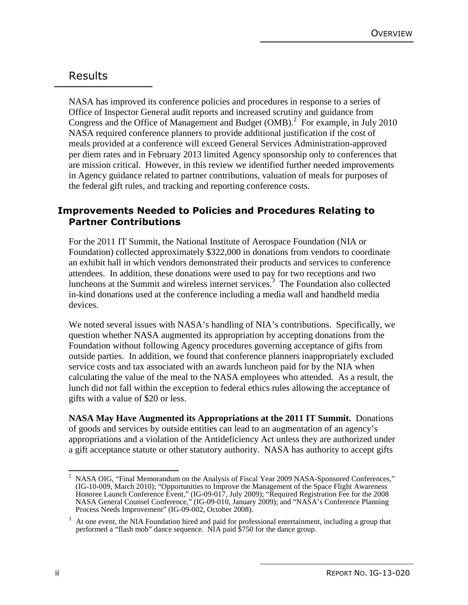## Results

NASA has improved its conference policies and procedures in response to a series of Office of Inspector General audit reports and increased scrutiny and guidance from Congress and the Office of Management and Budget (OMB).<sup>2</sup> For example, in July 2010 NASA required conference planners to provide additional justification if the cost of meals provided at a conference will exceed General Services Administration-approved per diem rates and in February 2013 limited Agency sponsorship only to conferences that are mission critical. However, in this review we identified further needed improvements in Agency guidance related to partner contributions, valuation of meals for purposes of the federal gift rules, and tracking and reporting conference costs.

#### **Improvements Needed to Policies and Procedures Relating to Partner Contributions**

For the 2011 IT Summit, the National Institute of Aerospace Foundation (NIA or Foundation) collected approximately \$322,000 in donations from vendors to coordinate an exhibit hall in which vendors demonstrated their products and services to conference attendees. In addition, these donations were used to pay for two receptions and two luncheons at the Summit and wireless internet services. 3 The Foundation also collected in-kind donations used at the conference including a media wall and handheld media devices.

We noted several issues with NASA's handling of NIA's contributions. Specifically, we question whether NASA augmented its appropriation by accepting donations from the Foundation without following Agency procedures governing acceptance of gifts from outside parties. In addition, we found that conference planners inappropriately excluded service costs and tax associated with an awards luncheon paid for by the NIA when calculating the value of the meal to the NASA employees who attended. As a result, the lunch did not fall within the exception to federal ethics rules allowing the acceptance of gifts with a value of \$20 or less.

**NASA May Have Augmented its Appropriations at the 2011 IT Summit.** Donations of goods and services by outside entities can lead to an augmentation of an agency's appropriations and a violation of the Antideficiency Act unless they are authorized under a gift acceptance statute or other statutory authority. NASA has authority to accept gifts

 $\frac{1}{2}$  NASA OIG, "Final Memorandum on the Analysis of Fiscal Year 2009 NASA-Sponsored Conferences," (IG-10-009, March 2010); "Opportunities to Improve the Management of the Space Flight Awareness Honoree Launch Conference Event," (IG-09-017, July 2009); "Required Registration Fee for the 2008 NASA General Counsel Conference," (IG-09-010, January 2009); and "NASA's Conference Planning Process Needs Improvement" (IG-09-002, October 2008).

<sup>3</sup> At one event, the NIA Foundation hired and paid for professional entertainment, including a group that performed a "flash mob" dance sequence. NIA paid \$750 for the dance group.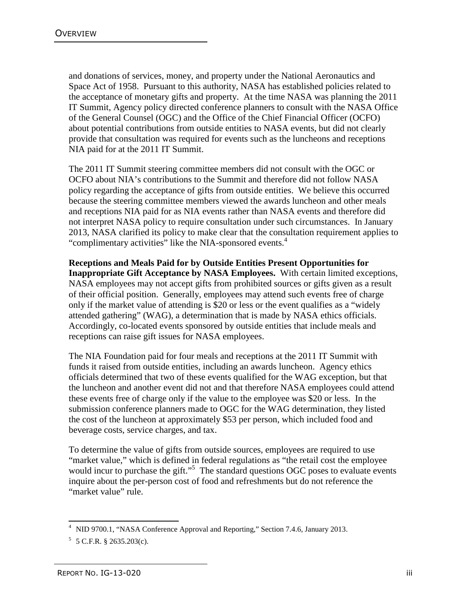and donations of services, money, and property under the National Aeronautics and Space Act of 1958. Pursuant to this authority, NASA has established policies related to the acceptance of monetary gifts and property. At the time NASA was planning the 2011 IT Summit, Agency policy directed conference planners to consult with the NASA Office of the General Counsel (OGC) and the Office of the Chief Financial Officer (OCFO) about potential contributions from outside entities to NASA events, but did not clearly provide that consultation was required for events such as the luncheons and receptions NIA paid for at the 2011 IT Summit.

The 2011 IT Summit steering committee members did not consult with the OGC or OCFO about NIA's contributions to the Summit and therefore did not follow NASA policy regarding the acceptance of gifts from outside entities. We believe this occurred because the steering committee members viewed the awards luncheon and other meals and receptions NIA paid for as NIA events rather than NASA events and therefore did not interpret NASA policy to require consultation under such circumstances. In January 2013, NASA clarified its policy to make clear that the consultation requirement applies to "complimentary activities" like the NIA-sponsored events.<sup>4</sup>

**Receptions and Meals Paid for by Outside Entities Present Opportunities for Inappropriate Gift Acceptance by NASA Employees.** With certain limited exceptions, NASA employees may not accept gifts from prohibited sources or gifts given as a result of their official position. Generally, employees may attend such events free of charge only if the market value of attending is \$20 or less or the event qualifies as a "widely attended gathering" (WAG), a determination that is made by NASA ethics officials. Accordingly, co-located events sponsored by outside entities that include meals and receptions can raise gift issues for NASA employees.

The NIA Foundation paid for four meals and receptions at the 2011 IT Summit with funds it raised from outside entities, including an awards luncheon. Agency ethics officials determined that two of these events qualified for the WAG exception, but that the luncheon and another event did not and that therefore NASA employees could attend these events free of charge only if the value to the employee was \$20 or less. In the submission conference planners made to OGC for the WAG determination, they listed the cost of the luncheon at approximately \$53 per person, which included food and beverage costs, service charges, and tax.

To determine the value of gifts from outside sources, employees are required to use "market value," which is defined in federal regulations as "the retail cost the employee would incur to purchase the gift."<sup>5</sup> The standard questions OGC poses to evaluate events inquire about the per-person cost of food and refreshments but do not reference the "market value" rule.

 4 NID 9700.1, "NASA Conference Approval and Reporting," Section 7.4.6, January 2013.

 $5$  5 C.F.R. § 2635.203(c).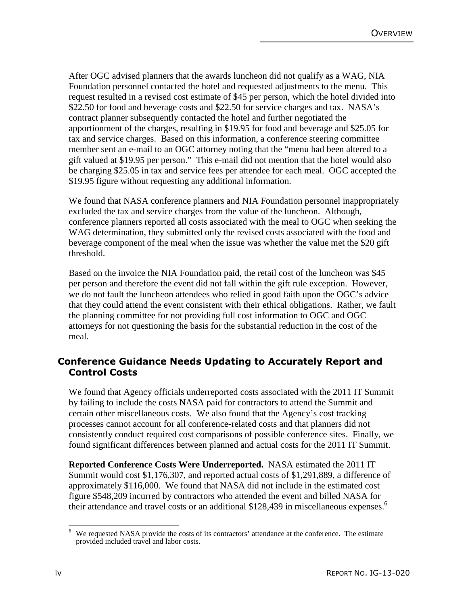After OGC advised planners that the awards luncheon did not qualify as a WAG, NIA Foundation personnel contacted the hotel and requested adjustments to the menu. This request resulted in a revised cost estimate of \$45 per person, which the hotel divided into \$22.50 for food and beverage costs and \$22.50 for service charges and tax. NASA's contract planner subsequently contacted the hotel and further negotiated the apportionment of the charges, resulting in \$19.95 for food and beverage and \$25.05 for tax and service charges. Based on this information, a conference steering committee member sent an e-mail to an OGC attorney noting that the "menu had been altered to a gift valued at \$19.95 per person." This e-mail did not mention that the hotel would also be charging \$25.05 in tax and service fees per attendee for each meal. OGC accepted the \$19.95 figure without requesting any additional information.

We found that NASA conference planners and NIA Foundation personnel inappropriately excluded the tax and service charges from the value of the luncheon. Although, conference planners reported all costs associated with the meal to OGC when seeking the WAG determination, they submitted only the revised costs associated with the food and beverage component of the meal when the issue was whether the value met the \$20 gift threshold.

Based on the invoice the NIA Foundation paid, the retail cost of the luncheon was \$45 per person and therefore the event did not fall within the gift rule exception. However, we do not fault the luncheon attendees who relied in good faith upon the OGC's advice that they could attend the event consistent with their ethical obligations. Rather, we fault the planning committee for not providing full cost information to OGC and OGC attorneys for not questioning the basis for the substantial reduction in the cost of the meal.

#### **Conference Guidance Needs Updating to Accurately Report and Control Costs**

We found that Agency officials underreported costs associated with the 2011 IT Summit by failing to include the costs NASA paid for contractors to attend the Summit and certain other miscellaneous costs. We also found that the Agency's cost tracking processes cannot account for all conference-related costs and that planners did not consistently conduct required cost comparisons of possible conference sites. Finally, we found significant differences between planned and actual costs for the 2011 IT Summit.

**Reported Conference Costs Were Underreported.** NASA estimated the 2011 IT Summit would cost \$1,176,307, and reported actual costs of \$1,291,889, a difference of approximately \$116,000. We found that NASA did not include in the estimated cost figure \$548,209 incurred by contractors who attended the event and billed NASA for their attendance and travel costs or an additional \$128,439 in miscellaneous expenses.<sup>6</sup>

 $\overline{a}$ 6 We requested NASA provide the costs of its contractors' attendance at the conference. The estimate provided included travel and labor costs.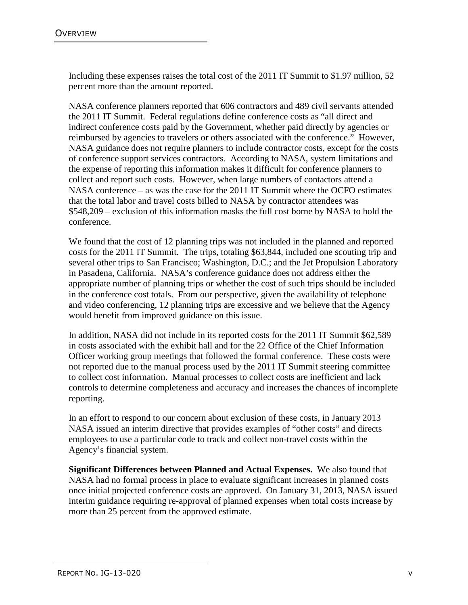Including these expenses raises the total cost of the 2011 IT Summit to \$1.97 million, 52 percent more than the amount reported.

NASA conference planners reported that 606 contractors and 489 civil servants attended the 2011 IT Summit. Federal regulations define conference costs as "all direct and indirect conference costs paid by the Government, whether paid directly by agencies or reimbursed by agencies to travelers or others associated with the conference." However, NASA guidance does not require planners to include contractor costs, except for the costs of conference support services contractors. According to NASA, system limitations and the expense of reporting this information makes it difficult for conference planners to collect and report such costs. However, when large numbers of contactors attend a NASA conference – as was the case for the 2011 IT Summit where the OCFO estimates that the total labor and travel costs billed to NASA by contractor attendees was \$548,209 – exclusion of this information masks the full cost borne by NASA to hold the conference.

We found that the cost of 12 planning trips was not included in the planned and reported costs for the 2011 IT Summit. The trips, totaling \$63,844, included one scouting trip and several other trips to San Francisco; Washington, D.C.; and the Jet Propulsion Laboratory in Pasadena, California. NASA's conference guidance does not address either the appropriate number of planning trips or whether the cost of such trips should be included in the conference cost totals. From our perspective, given the availability of telephone and video conferencing, 12 planning trips are excessive and we believe that the Agency would benefit from improved guidance on this issue.

In addition, NASA did not include in its reported costs for the 2011 IT Summit \$62,589 in costs associated with the exhibit hall and for the 22 Office of the Chief Information Officer working group meetings that followed the formal conference. These costs were not reported due to the manual process used by the 2011 IT Summit steering committee to collect cost information. Manual processes to collect costs are inefficient and lack controls to determine completeness and accuracy and increases the chances of incomplete reporting.

In an effort to respond to our concern about exclusion of these costs, in January 2013 NASA issued an interim directive that provides examples of "other costs" and directs employees to use a particular code to track and collect non-travel costs within the Agency's financial system.

**Significant Differences between Planned and Actual Expenses.** We also found that NASA had no formal process in place to evaluate significant increases in planned costs once initial projected conference costs are approved. On January 31, 2013, NASA issued interim guidance requiring re-approval of planned expenses when total costs increase by more than 25 percent from the approved estimate.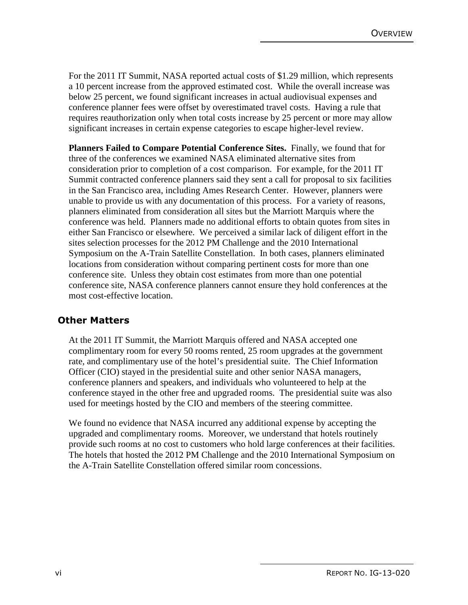For the 2011 IT Summit, NASA reported actual costs of \$1.29 million, which represents a 10 percent increase from the approved estimated cost. While the overall increase was below 25 percent, we found significant increases in actual audiovisual expenses and conference planner fees were offset by overestimated travel costs. Having a rule that requires reauthorization only when total costs increase by 25 percent or more may allow significant increases in certain expense categories to escape higher-level review.

**Planners Failed to Compare Potential Conference Sites.** Finally, we found that for three of the conferences we examined NASA eliminated alternative sites from consideration prior to completion of a cost comparison. For example, for the 2011 IT Summit contracted conference planners said they sent a call for proposal to six facilities in the San Francisco area, including Ames Research Center. However, planners were unable to provide us with any documentation of this process. For a variety of reasons, planners eliminated from consideration all sites but the Marriott Marquis where the conference was held. Planners made no additional efforts to obtain quotes from sites in either San Francisco or elsewhere. We perceived a similar lack of diligent effort in the sites selection processes for the 2012 PM Challenge and the 2010 International Symposium on the A-Train Satellite Constellation. In both cases, planners eliminated locations from consideration without comparing pertinent costs for more than one conference site. Unless they obtain cost estimates from more than one potential conference site, NASA conference planners cannot ensure they hold conferences at the most cost-effective location.

#### **Other Matters**

At the 2011 IT Summit, the Marriott Marquis offered and NASA accepted one complimentary room for every 50 rooms rented, 25 room upgrades at the government rate, and complimentary use of the hotel's presidential suite. The Chief Information Officer (CIO) stayed in the presidential suite and other senior NASA managers, conference planners and speakers, and individuals who volunteered to help at the conference stayed in the other free and upgraded rooms. The presidential suite was also used for meetings hosted by the CIO and members of the steering committee.

We found no evidence that NASA incurred any additional expense by accepting the upgraded and complimentary rooms. Moreover, we understand that hotels routinely provide such rooms at no cost to customers who hold large conferences at their facilities. The hotels that hosted the 2012 PM Challenge and the 2010 International Symposium on the A-Train Satellite Constellation offered similar room concessions.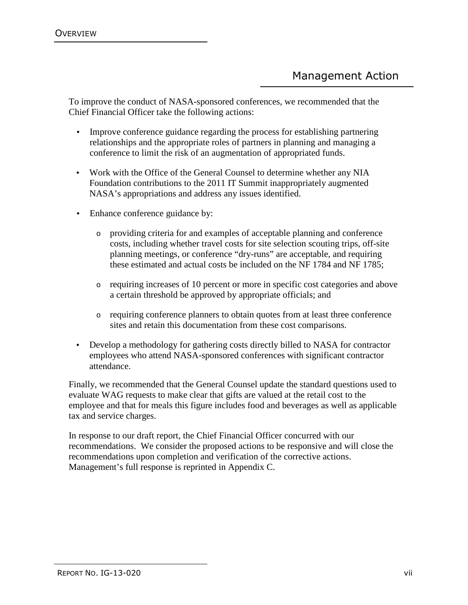To improve the conduct of NASA-sponsored conferences, we recommended that the Chief Financial Officer take the following actions:

- Improve conference guidance regarding the process for establishing partnering relationships and the appropriate roles of partners in planning and managing a conference to limit the risk of an augmentation of appropriated funds.
- Work with the Office of the General Counsel to determine whether any NIA Foundation contributions to the 2011 IT Summit inappropriately augmented NASA's appropriations and address any issues identified.
- Enhance conference guidance by:
	- o providing criteria for and examples of acceptable planning and conference costs, including whether travel costs for site selection scouting trips, off-site planning meetings, or conference "dry-runs" are acceptable, and requiring these estimated and actual costs be included on the NF 1784 and NF 1785;
	- o requiring increases of 10 percent or more in specific cost categories and above a certain threshold be approved by appropriate officials; and
	- o requiring conference planners to obtain quotes from at least three conference sites and retain this documentation from these cost comparisons.
- Develop a methodology for gathering costs directly billed to NASA for contractor employees who attend NASA-sponsored conferences with significant contractor attendance.

Finally, we recommended that the General Counsel update the standard questions used to evaluate WAG requests to make clear that gifts are valued at the retail cost to the employee and that for meals this figure includes food and beverages as well as applicable tax and service charges.

In response to our draft report, the Chief Financial Officer concurred with our recommendations. We consider the proposed actions to be responsive and will close the recommendations upon completion and verification of the corrective actions. Management's full response is reprinted in Appendix C.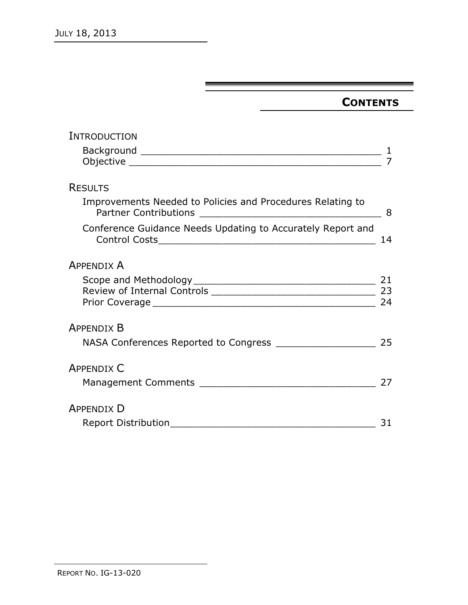## **CONTENTS**

| INTRODUCTION                                                |    |
|-------------------------------------------------------------|----|
|                                                             |    |
|                                                             |    |
| <b>RESULTS</b>                                              |    |
| Improvements Needed to Policies and Procedures Relating to  | 8  |
| Conference Guidance Needs Updating to Accurately Report and | 14 |
| <b>APPENDIX A</b>                                           |    |
|                                                             | 21 |
|                                                             |    |
|                                                             | 24 |
| <b>APPENDIX B</b>                                           |    |
| NASA Conferences Reported to Congress ___________________   | 25 |
| <b>APPENDIX C</b>                                           |    |
|                                                             | 27 |
| <b>APPENDIX D</b>                                           |    |
| <b>Report Distribution</b>                                  | 31 |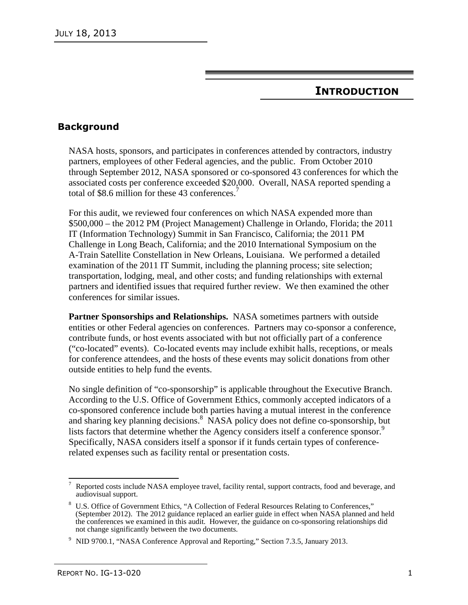### **INTRODUCTION**

#### **Background**

NASA hosts, sponsors, and participates in conferences attended by contractors, industry partners, employees of other Federal agencies, and the public. From October 2010 through September 2012, NASA sponsored or co-sponsored 43 conferences for which the associated costs per conference exceeded \$20,000. Overall, NASA reported spending a total of \$8.6 million for these 43 conferences.<sup>7</sup>

For this audit, we reviewed four conferences on which NASA expended more than \$500,000 – the 2012 PM (Project Management) Challenge in Orlando, Florida; the 2011 IT (Information Technology) Summit in San Francisco, California; the 2011 PM Challenge in Long Beach, California; and the 2010 International Symposium on the A-Train Satellite Constellation in New Orleans, Louisiana. We performed a detailed examination of the 2011 IT Summit, including the planning process; site selection; transportation, lodging, meal, and other costs; and funding relationships with external partners and identified issues that required further review. We then examined the other conferences for similar issues.

**Partner Sponsorships and Relationships.** NASA sometimes partners with outside entities or other Federal agencies on conferences. Partners may co-sponsor a conference, contribute funds, or host events associated with but not officially part of a conference ("co-located" events). Co-located events may include exhibit halls, receptions, or meals for conference attendees, and the hosts of these events may solicit donations from other outside entities to help fund the events.

No single definition of "co-sponsorship" is applicable throughout the Executive Branch. According to the U.S. Office of Government Ethics, commonly accepted indicators of a co-sponsored conference include both parties having a mutual interest in the conference and sharing key planning decisions.<sup>8</sup> NASA policy does not define co-sponsorship, but lists factors that determine whether the Agency considers itself a conference sponsor.<sup>9</sup> Specifically, NASA considers itself a sponsor if it funds certain types of conferencerelated expenses such as facility rental or presentation costs.

 $\overline{a}$ 7 Reported costs include NASA employee travel, facility rental, support contracts, food and beverage, and audiovisual support.

<sup>8</sup> U.S. Office of Government Ethics, "A Collection of Federal Resources Relating to Conferences," (September 2012). The 2012 guidance replaced an earlier guide in effect when NASA planned and held the conferences we examined in this audit. However, the guidance on co-sponsoring relationships did not change significantly between the two documents.

<sup>&</sup>lt;sup>9</sup> NID 9700.1, "NASA Conference Approval and Reporting," Section 7.3.5, January 2013.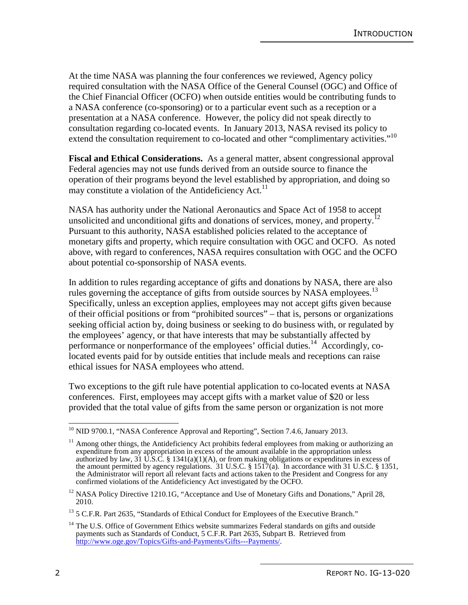At the time NASA was planning the four conferences we reviewed, Agency policy required consultation with the NASA Office of the General Counsel (OGC) and Office of the Chief Financial Officer (OCFO) when outside entities would be contributing funds to a NASA conference (co-sponsoring) or to a particular event such as a reception or a presentation at a NASA conference. However, the policy did not speak directly to consultation regarding co-located events. In January 2013, NASA revised its policy to extend the consultation requirement to co-located and other "complimentary activities."<sup>10</sup>

**Fiscal and Ethical Considerations.** As a general matter, absent congressional approval Federal agencies may not use funds derived from an outside source to finance the operation of their programs beyond the level established by appropriation, and doing so may constitute a violation of the Antideficiency Act. $11$ 

NASA has authority under the National Aeronautics and Space Act of 1958 to accept unsolicited and unconditional gifts and donations of services, money, and property.<sup>12</sup> Pursuant to this authority, NASA established policies related to the acceptance of monetary gifts and property, which require consultation with OGC and OCFO. As noted above, with regard to conferences, NASA requires consultation with OGC and the OCFO about potential co-sponsorship of NASA events.

In addition to rules regarding acceptance of gifts and donations by NASA, there are also rules governing the acceptance of gifts from outside sources by NASA employees.<sup>13</sup> Specifically, unless an exception applies, employees may not accept gifts given because of their official positions or from "prohibited sources" – that is, persons or organizations seeking official action by, doing business or seeking to do business with, or regulated by the employees' agency, or that have interests that may be substantially affected by performance or nonperformance of the employees' official duties.<sup>14</sup> Accordingly, colocated events paid for by outside entities that include meals and receptions can raise ethical issues for NASA employees who attend.

Two exceptions to the gift rule have potential application to co-located events at NASA conferences. First, employees may accept gifts with a market value of \$20 or less provided that the total value of gifts from the same person or organization is not more

 $\overline{\phantom{a}}$ <sup>10</sup> NID 9700.1, "NASA Conference Approval and Reporting", Section 7.4.6, January 2013.

 $11$  Among other things, the Antideficiency Act prohibits federal employees from making or authorizing an expenditure from any appropriation in excess of the amount available in the appropriation unless authorized by law, 31 U.S.C. § 1341(a)(1)(A), or from making obligations or expenditures in excess of the amount permitted by agency regulations. 31 U.S.C. § 1517(a). In accordance with 31 U.S.C. § 1351, the Administrator will report all relevant facts and actions taken to the President and Congress for any confirmed violations of the Antideficiency Act investigated by the OCFO.

<sup>&</sup>lt;sup>12</sup> NASA Policy Directive 1210.1G, "Acceptance and Use of Monetary Gifts and Donations," April 28, 2010.

<sup>&</sup>lt;sup>13</sup> 5 C.F.R. Part 2635, "Standards of Ethical Conduct for Employees of the Executive Branch."

<sup>&</sup>lt;sup>14</sup> The U.S. Office of Government Ethics website summarizes Federal standards on gifts and outside payments such as Standards of Conduct, 5 C.F.R. Part 2635, Subpart B. Retrieved from http://www.oge.gov/Topics/Gifts-and-Payments/Gifts---Payments/.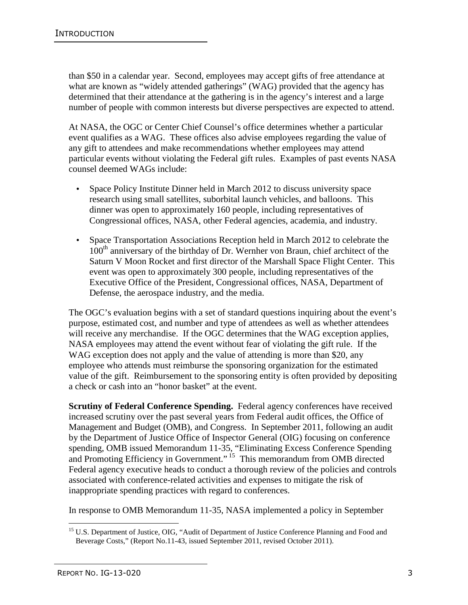than \$50 in a calendar year. Second, employees may accept gifts of free attendance at what are known as "widely attended gatherings" (WAG) provided that the agency has determined that their attendance at the gathering is in the agency's interest and a large number of people with common interests but diverse perspectives are expected to attend.

At NASA, the OGC or Center Chief Counsel's office determines whether a particular event qualifies as a WAG. These offices also advise employees regarding the value of any gift to attendees and make recommendations whether employees may attend particular events without violating the Federal gift rules. Examples of past events NASA counsel deemed WAGs include:

- Space Policy Institute Dinner held in March 2012 to discuss university space research using small satellites, suborbital launch vehicles, and balloons. This dinner was open to approximately 160 people, including representatives of Congressional offices, NASA, other Federal agencies, academia, and industry.
- Space Transportation Associations Reception held in March 2012 to celebrate the 100<sup>th</sup> anniversary of the birthday of Dr. Wernher von Braun, chief architect of the Saturn V Moon Rocket and first director of the Marshall Space Flight Center. This event was open to approximately 300 people, including representatives of the Executive Office of the President, Congressional offices, NASA, Department of Defense, the aerospace industry, and the media.

The OGC's evaluation begins with a set of standard questions inquiring about the event's purpose, estimated cost, and number and type of attendees as well as whether attendees will receive any merchandise. If the OGC determines that the WAG exception applies, NASA employees may attend the event without fear of violating the gift rule. If the WAG exception does not apply and the value of attending is more than \$20, any employee who attends must reimburse the sponsoring organization for the estimated value of the gift. Reimbursement to the sponsoring entity is often provided by depositing a check or cash into an "honor basket" at the event.

**Scrutiny of Federal Conference Spending.** Federal agency conferences have received increased scrutiny over the past several years from Federal audit offices, the Office of Management and Budget (OMB), and Congress. In September 2011, following an audit by the Department of Justice Office of Inspector General (OIG) focusing on conference spending, OMB issued Memorandum 11-35, "Eliminating Excess Conference Spending and Promoting Efficiency in Government."<sup>15</sup> This memorandum from OMB directed Federal agency executive heads to conduct a thorough review of the policies and controls associated with conference-related activities and expenses to mitigate the risk of inappropriate spending practices with regard to conferences.

In response to OMB Memorandum 11-35, NASA implemented a policy in September

<sup>&</sup>lt;u>.</u> <sup>15</sup> U.S. Department of Justice, OIG, "Audit of Department of Justice Conference Planning and Food and Beverage Costs," (Report No.11-43, issued September 2011, revised October 2011).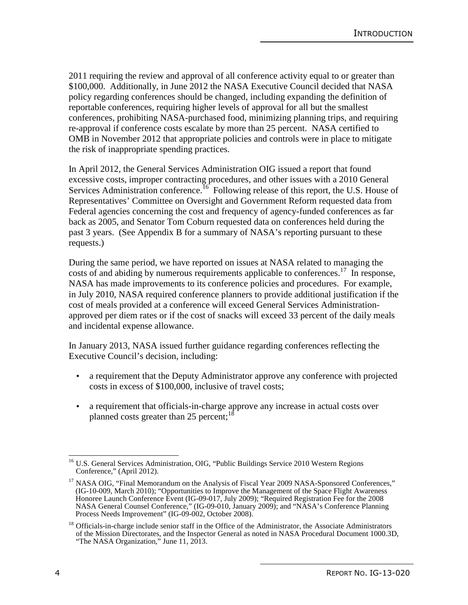2011 requiring the review and approval of all conference activity equal to or greater than \$100,000. Additionally, in June 2012 the NASA Executive Council decided that NASA policy regarding conferences should be changed, including expanding the definition of reportable conferences, requiring higher levels of approval for all but the smallest conferences, prohibiting NASA-purchased food, minimizing planning trips, and requiring re-approval if conference costs escalate by more than 25 percent. NASA certified to OMB in November 2012 that appropriate policies and controls were in place to mitigate the risk of inappropriate spending practices.

In April 2012, the General Services Administration OIG issued a report that found excessive costs, improper contracting procedures, and other issues with a 2010 General Services Administration conference.<sup>16</sup> Following release of this report, the U.S. House of Representatives' Committee on Oversight and Government Reform requested data from Federal agencies concerning the cost and frequency of agency-funded conferences as far back as 2005, and Senator Tom Coburn requested data on conferences held during the past 3 years. (See Appendix B for a summary of NASA's reporting pursuant to these requests.)

During the same period, we have reported on issues at NASA related to managing the costs of and abiding by numerous requirements applicable to conferences.<sup>17</sup> In response, NASA has made improvements to its conference policies and procedures. For example, in July 2010, NASA required conference planners to provide additional justification if the cost of meals provided at a conference will exceed General Services Administrationapproved per diem rates or if the cost of snacks will exceed 33 percent of the daily meals and incidental expense allowance.

In January 2013, NASA issued further guidance regarding conferences reflecting the Executive Council's decision, including:

- a requirement that the Deputy Administrator approve any conference with projected costs in excess of \$100,000, inclusive of travel costs;
- a requirement that officials-in-charge approve any increase in actual costs over planned costs greater than 25 percent; $^{18}$

 $\frac{1}{2}$ <sup>16</sup> U.S. General Services Administration, OIG, "Public Buildings Service 2010 Western Regions Conference," (April 2012).

<sup>&</sup>lt;sup>17</sup> NASA OIG, "Final Memorandum on the Analysis of Fiscal Year 2009 NASA-Sponsored Conferences," (IG-10-009, March 2010); "Opportunities to Improve the Management of the Space Flight Awareness Honoree Launch Conference Event (IG-09-017, July 2009); "Required Registration Fee for the 2008 NASA General Counsel Conference," (IG-09-010, January 2009); and "NASA's Conference Planning Process Needs Improvement" (IG-09-002, October 2008).

<sup>&</sup>lt;sup>18</sup> Officials-in-charge include senior staff in the Office of the Administrator, the Associate Administrators of the Mission Directorates, and the Inspector General as noted in NASA Procedural Document 1000.3D, "The NASA Organization," June 11, 2013.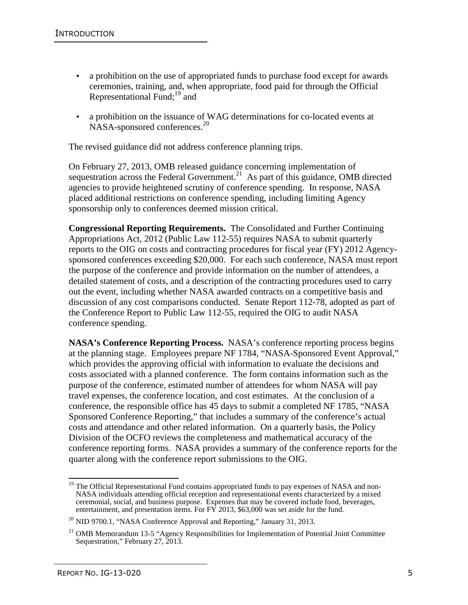- a prohibition on the use of appropriated funds to purchase food except for awards ceremonies, training, and, when appropriate, food paid for through the Official Representational Fund; $^{19}$  and
- a prohibition on the issuance of WAG determinations for co-located events at NASA-sponsored conferences.<sup>20</sup>

The revised guidance did not address conference planning trips.

On February 27, 2013, OMB released guidance concerning implementation of sequestration across the Federal Government.<sup>21</sup> As part of this guidance, OMB directed agencies to provide heightened scrutiny of conference spending. In response, NASA placed additional restrictions on conference spending, including limiting Agency sponsorship only to conferences deemed mission critical.

**Congressional Reporting Requirements.** The Consolidated and Further Continuing Appropriations Act, 2012 (Public Law 112-55) requires NASA to submit quarterly reports to the OIG on costs and contracting procedures for fiscal year (FY) 2012 Agencysponsored conferences exceeding \$20,000. For each such conference, NASA must report the purpose of the conference and provide information on the number of attendees, a detailed statement of costs, and a description of the contracting procedures used to carry out the event, including whether NASA awarded contracts on a competitive basis and discussion of any cost comparisons conducted. Senate Report 112-78, adopted as part of the Conference Report to Public Law 112-55, required the OIG to audit NASA conference spending.

**NASA's Conference Reporting Process.** NASA's conference reporting process begins at the planning stage. Employees prepare NF 1784, "NASA-Sponsored Event Approval," which provides the approving official with information to evaluate the decisions and costs associated with a planned conference. The form contains information such as the purpose of the conference, estimated number of attendees for whom NASA will pay travel expenses, the conference location, and cost estimates. At the conclusion of a conference, the responsible office has 45 days to submit a completed NF 1785, "NASA Sponsored Conference Reporting," that includes a summary of the conference's actual costs and attendance and other related information. On a quarterly basis, the Policy Division of the OCFO reviews the completeness and mathematical accuracy of the conference reporting forms. NASA provides a summary of the conference reports for the quarter along with the conference report submissions to the OIG.

 $\frac{1}{2}$ <sup>19</sup> The Official Representational Fund contains appropriated funds to pay expenses of NASA and non-NASA individuals attending official reception and representational events characterized by a mixed ceremonial, social, and business purpose. Expenses that may be covered include food, beverages, entertainment, and presentation items. For FY 2013, \$63,000 was set aside for the fund.

<sup>&</sup>lt;sup>20</sup> NID 9700.1, "NASA Conference Approval and Reporting," January 31, 2013.

<sup>&</sup>lt;sup>21</sup> OMB Memorandum 13-5 "Agency Responsibilities for Implementation of Potential Joint Committee Sequestration," February 27, 2013.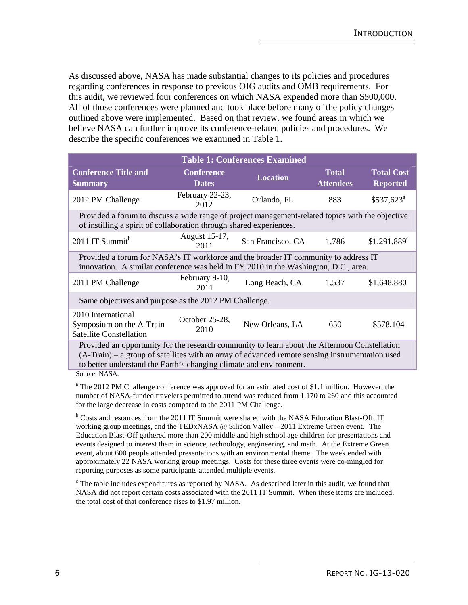As discussed above, NASA has made substantial changes to its policies and procedures regarding conferences in response to previous OIG audits and OMB requirements. For this audit, we reviewed four conferences on which NASA expended more than \$500,000. All of those conferences were planned and took place before many of the policy changes outlined above were implemented. Based on that review, we found areas in which we believe NASA can further improve its conference-related policies and procedures. We describe the specific conferences we examined in Table 1.

|                                                                                                                                                                                                                                                                        |                                   | <b>Table 1: Conferences Examined</b> |                                  |                                      |
|------------------------------------------------------------------------------------------------------------------------------------------------------------------------------------------------------------------------------------------------------------------------|-----------------------------------|--------------------------------------|----------------------------------|--------------------------------------|
| <b>Conference Title and</b><br><b>Summary</b>                                                                                                                                                                                                                          | <b>Conference</b><br><b>Dates</b> | <b>Location</b>                      | <b>Total</b><br><b>Attendees</b> | <b>Total Cost</b><br><b>Reported</b> |
| 2012 PM Challenge                                                                                                                                                                                                                                                      | February 22-23,<br>2012           | Orlando, FL                          | 883                              | $$537,623^{\circ}$                   |
| Provided a forum to discuss a wide range of project management-related topics with the objective<br>of instilling a spirit of collaboration through shared experiences.                                                                                                |                                   |                                      |                                  |                                      |
| 2011 IT Summit <sup>b</sup>                                                                                                                                                                                                                                            | August 15-17,<br>2011             | San Francisco, CA                    | 1,786                            | $$1,291,889$ <sup>c</sup>            |
| Provided a forum for NASA's IT workforce and the broader IT community to address IT<br>innovation. A similar conference was held in FY 2010 in the Washington, D.C., area.                                                                                             |                                   |                                      |                                  |                                      |
| 2011 PM Challenge                                                                                                                                                                                                                                                      | February 9-10,<br>2011            | Long Beach, CA                       | 1,537                            | \$1,648,880                          |
| Same objectives and purpose as the 2012 PM Challenge.                                                                                                                                                                                                                  |                                   |                                      |                                  |                                      |
| 2010 International<br>Symposium on the A-Train<br><b>Satellite Constellation</b>                                                                                                                                                                                       | October 25-28,<br>2010            | New Orleans, LA                      | 650                              | \$578,104                            |
| Provided an opportunity for the research community to learn about the Afternoon Constellation<br>(A-Train) – a group of satellites with an array of advanced remote sensing instrumentation used<br>to better understand the Earth's changing climate and environment. |                                   |                                      |                                  |                                      |

Source: NASA.

<sup>a</sup> The 2012 PM Challenge conference was approved for an estimated cost of \$1.1 million. However, the number of NASA-funded travelers permitted to attend was reduced from 1,170 to 260 and this accounted for the large decrease in costs compared to the 2011 PM Challenge.

<sup>b</sup> Costs and resources from the 2011 IT Summit were shared with the NASA Education Blast-Off, IT working group meetings, and the TEDxNASA @ Silicon Valley – 2011 Extreme Green event. The Education Blast-Off gathered more than 200 middle and high school age children for presentations and events designed to interest them in science, technology, engineering, and math. At the Extreme Green event, about 600 people attended presentations with an environmental theme. The week ended with approximately 22 NASA working group meetings. Costs for these three events were co-mingled for reporting purposes as some participants attended multiple events.

<sup>c</sup> The table includes expenditures as reported by NASA. As described later in this audit, we found that NASA did not report certain costs associated with the 2011 IT Summit. When these items are included, the total cost of that conference rises to \$1.97 million.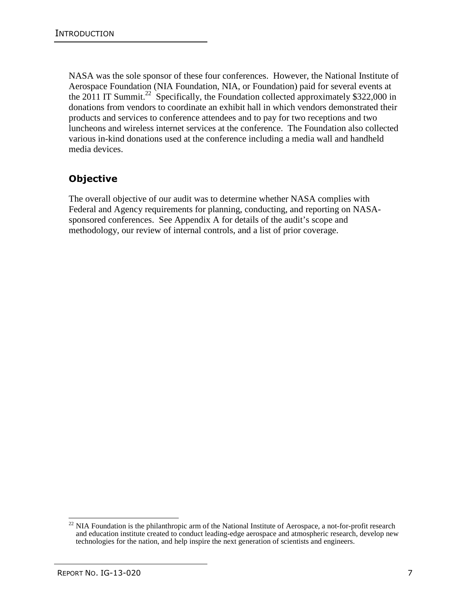NASA was the sole sponsor of these four conferences. However, the National Institute of Aerospace Foundation (NIA Foundation, NIA, or Foundation) paid for several events at the 2011 IT Summit.<sup>22</sup> Specifically, the Foundation collected approximately \$322,000 in donations from vendors to coordinate an exhibit hall in which vendors demonstrated their products and services to conference attendees and to pay for two receptions and two luncheons and wireless internet services at the conference. The Foundation also collected various in-kind donations used at the conference including a media wall and handheld media devices.

### **Objective**

The overall objective of our audit was to determine whether NASA complies with Federal and Agency requirements for planning, conducting, and reporting on NASAsponsored conferences. See Appendix A for details of the audit's scope and methodology, our review of internal controls, and a list of prior coverage.

 $\overline{a}$  $22$  NIA Foundation is the philanthropic arm of the National Institute of Aerospace, a not-for-profit research and education institute created to conduct leading-edge aerospace and atmospheric research, develop new technologies for the nation, and help inspire the next generation of scientists and engineers.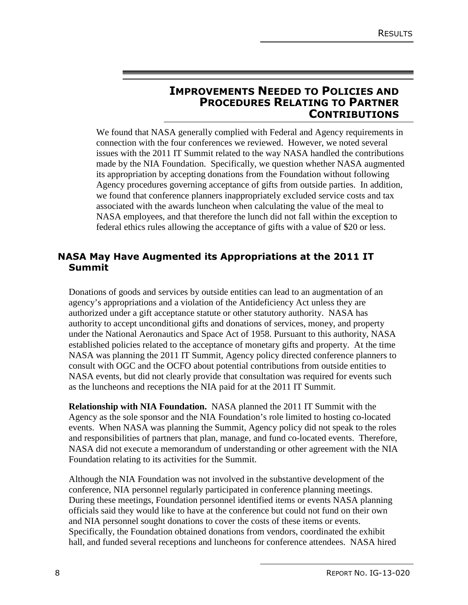#### **IMPROVEMENTS NEEDED TO POLICIES AND PROCEDURES RELATING TO PARTNER CONTRIBUTIONS**

We found that NASA generally complied with Federal and Agency requirements in connection with the four conferences we reviewed. However, we noted several issues with the 2011 IT Summit related to the way NASA handled the contributions made by the NIA Foundation. Specifically, we question whether NASA augmented its appropriation by accepting donations from the Foundation without following Agency procedures governing acceptance of gifts from outside parties. In addition, we found that conference planners inappropriately excluded service costs and tax associated with the awards luncheon when calculating the value of the meal to NASA employees, and that therefore the lunch did not fall within the exception to federal ethics rules allowing the acceptance of gifts with a value of \$20 or less.

#### **NASA May Have Augmented its Appropriations at the 2011 IT Summit**

Donations of goods and services by outside entities can lead to an augmentation of an agency's appropriations and a violation of the Antideficiency Act unless they are authorized under a gift acceptance statute or other statutory authority. NASA has authority to accept unconditional gifts and donations of services, money, and property under the National Aeronautics and Space Act of 1958. Pursuant to this authority, NASA established policies related to the acceptance of monetary gifts and property. At the time NASA was planning the 2011 IT Summit, Agency policy directed conference planners to consult with OGC and the OCFO about potential contributions from outside entities to NASA events, but did not clearly provide that consultation was required for events such as the luncheons and receptions the NIA paid for at the 2011 IT Summit.

**Relationship with NIA Foundation.** NASA planned the 2011 IT Summit with the Agency as the sole sponsor and the NIA Foundation's role limited to hosting co-located events. When NASA was planning the Summit, Agency policy did not speak to the roles and responsibilities of partners that plan, manage, and fund co-located events. Therefore, NASA did not execute a memorandum of understanding or other agreement with the NIA Foundation relating to its activities for the Summit.

Although the NIA Foundation was not involved in the substantive development of the conference, NIA personnel regularly participated in conference planning meetings. During these meetings, Foundation personnel identified items or events NASA planning officials said they would like to have at the conference but could not fund on their own and NIA personnel sought donations to cover the costs of these items or events. Specifically, the Foundation obtained donations from vendors, coordinated the exhibit hall, and funded several receptions and luncheons for conference attendees. NASA hired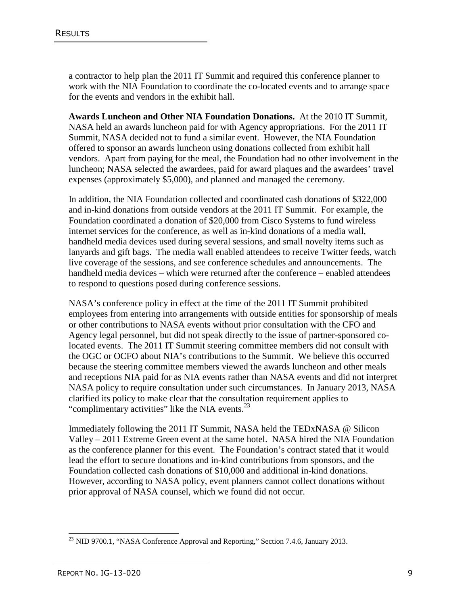a contractor to help plan the 2011 IT Summit and required this conference planner to work with the NIA Foundation to coordinate the co-located events and to arrange space for the events and vendors in the exhibit hall.

**Awards Luncheon and Other NIA Foundation Donations.** At the 2010 IT Summit, NASA held an awards luncheon paid for with Agency appropriations. For the 2011 IT Summit, NASA decided not to fund a similar event. However, the NIA Foundation offered to sponsor an awards luncheon using donations collected from exhibit hall vendors. Apart from paying for the meal, the Foundation had no other involvement in the luncheon; NASA selected the awardees, paid for award plaques and the awardees' travel expenses (approximately \$5,000), and planned and managed the ceremony.

In addition, the NIA Foundation collected and coordinated cash donations of \$322,000 and in-kind donations from outside vendors at the 2011 IT Summit. For example, the Foundation coordinated a donation of \$20,000 from Cisco Systems to fund wireless internet services for the conference, as well as in-kind donations of a media wall, handheld media devices used during several sessions, and small novelty items such as lanyards and gift bags. The media wall enabled attendees to receive Twitter feeds, watch live coverage of the sessions, and see conference schedules and announcements. The handheld media devices – which were returned after the conference – enabled attendees to respond to questions posed during conference sessions.

NASA's conference policy in effect at the time of the 2011 IT Summit prohibited employees from entering into arrangements with outside entities for sponsorship of meals or other contributions to NASA events without prior consultation with the CFO and Agency legal personnel, but did not speak directly to the issue of partner-sponsored colocated events. The 2011 IT Summit steering committee members did not consult with the OGC or OCFO about NIA's contributions to the Summit. We believe this occurred because the steering committee members viewed the awards luncheon and other meals and receptions NIA paid for as NIA events rather than NASA events and did not interpret NASA policy to require consultation under such circumstances. In January 2013, NASA clarified its policy to make clear that the consultation requirement applies to "complimentary activities" like the NIA events. $^{23}$ 

Immediately following the 2011 IT Summit, NASA held the TEDxNASA @ Silicon Valley – 2011 Extreme Green event at the same hotel. NASA hired the NIA Foundation as the conference planner for this event. The Foundation's contract stated that it would lead the effort to secure donations and in-kind contributions from sponsors, and the Foundation collected cash donations of \$10,000 and additional in-kind donations. However, according to NASA policy, event planners cannot collect donations without prior approval of NASA counsel, which we found did not occur.

 $\overline{1}$  $^{23}$  NID 9700.1, "NASA Conference Approval and Reporting," Section 7.4.6, January 2013.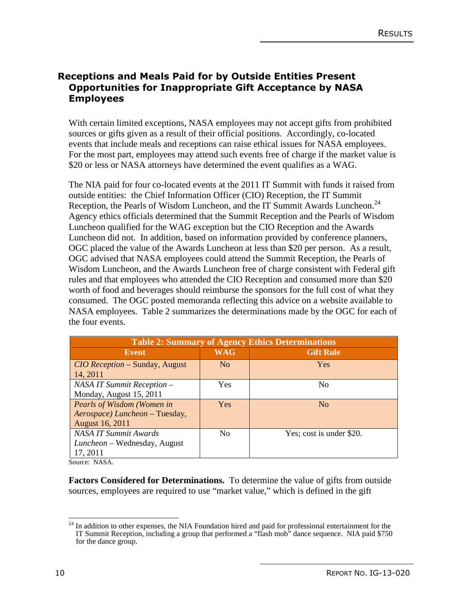#### **Receptions and Meals Paid for by Outside Entities Present Opportunities for Inappropriate Gift Acceptance by NASA Employees**

With certain limited exceptions, NASA employees may not accept gifts from prohibited sources or gifts given as a result of their official positions. Accordingly, co-located events that include meals and receptions can raise ethical issues for NASA employees. For the most part, employees may attend such events free of charge if the market value is \$20 or less or NASA attorneys have determined the event qualifies as a WAG.

The NIA paid for four co-located events at the 2011 IT Summit with funds it raised from outside entities: the Chief Information Officer (CIO) Reception, the IT Summit Reception, the Pearls of Wisdom Luncheon, and the IT Summit Awards Luncheon.<sup>24</sup> Agency ethics officials determined that the Summit Reception and the Pearls of Wisdom Luncheon qualified for the WAG exception but the CIO Reception and the Awards Luncheon did not. In addition, based on information provided by conference planners, OGC placed the value of the Awards Luncheon at less than \$20 per person. As a result, OGC advised that NASA employees could attend the Summit Reception, the Pearls of Wisdom Luncheon, and the Awards Luncheon free of charge consistent with Federal gift rules and that employees who attended the CIO Reception and consumed more than \$20 worth of food and beverages should reimburse the sponsors for the full cost of what they consumed. The OGC posted memoranda reflecting this advice on a website available to NASA employees. Table 2 summarizes the determinations made by the OGC for each of the four events.

| <b>Table 2: Summary of Agency Ethics Determinations</b> |                |                          |  |  |
|---------------------------------------------------------|----------------|--------------------------|--|--|
| Event                                                   | <b>WAG</b>     | <b>Gift Rule</b>         |  |  |
| <i>CIO Reception</i> – Sunday, August<br>14, 2011       | N <sub>o</sub> | <b>Yes</b>               |  |  |
| NASA IT Summit Reception -                              | Yes            | N <sub>0</sub>           |  |  |
| Monday, August 15, 2011                                 |                |                          |  |  |
| Pearls of Wisdom (Women in                              | Yes            | N <sub>o</sub>           |  |  |
| Aerospace) Luncheon - Tuesday,                          |                |                          |  |  |
| August 16, 2011                                         |                |                          |  |  |
| <b>NASA IT Summit Awards</b>                            | N <sub>0</sub> | Yes; cost is under \$20. |  |  |
| <i>Luncheon</i> – Wednesday, August                     |                |                          |  |  |
| 17, 2011                                                |                |                          |  |  |

Source: NASA.

**Factors Considered for Determinations.** To determine the value of gifts from outside sources, employees are required to use "market value," which is defined in the gift

 $\overline{a}$ <sup>24</sup> In addition to other expenses, the NIA Foundation hired and paid for professional entertainment for the IT Summit Reception, including a group that performed a "flash mob" dance sequence. NIA paid \$750 for the dance group.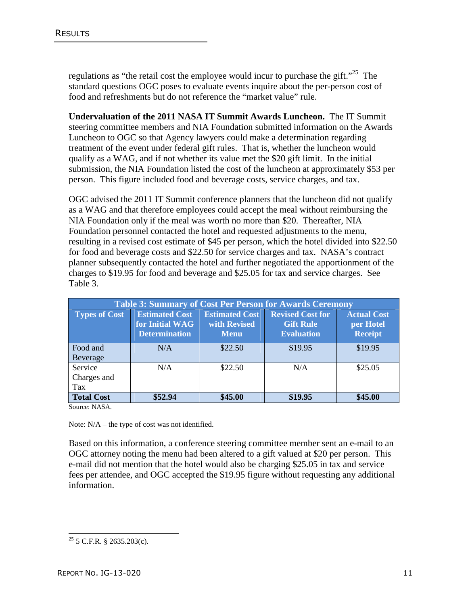regulations as "the retail cost the employee would incur to purchase the gift."<sup>25</sup> The standard questions OGC poses to evaluate events inquire about the per-person cost of food and refreshments but do not reference the "market value" rule.

**Undervaluation of the 2011 NASA IT Summit Awards Luncheon.** The IT Summit steering committee members and NIA Foundation submitted information on the Awards Luncheon to OGC so that Agency lawyers could make a determination regarding treatment of the event under federal gift rules. That is, whether the luncheon would qualify as a WAG, and if not whether its value met the \$20 gift limit. In the initial submission, the NIA Foundation listed the cost of the luncheon at approximately \$53 per person. This figure included food and beverage costs, service charges, and tax.

OGC advised the 2011 IT Summit conference planners that the luncheon did not qualify as a WAG and that therefore employees could accept the meal without reimbursing the NIA Foundation only if the meal was worth no more than \$20. Thereafter, NIA Foundation personnel contacted the hotel and requested adjustments to the menu, resulting in a revised cost estimate of \$45 per person, which the hotel divided into \$22.50 for food and beverage costs and \$22.50 for service charges and tax. NASA's contract planner subsequently contacted the hotel and further negotiated the apportionment of the charges to \$19.95 for food and beverage and \$25.05 for tax and service charges. See Table 3.

| <b>Table 3: Summary of Cost Per Person for Awards Ceremony</b> |                                                                  |                                                      |                                                                  |                                                   |
|----------------------------------------------------------------|------------------------------------------------------------------|------------------------------------------------------|------------------------------------------------------------------|---------------------------------------------------|
| <b>Types of Cost</b>                                           | <b>Estimated Cost</b><br>for Initial WAG<br><b>Determination</b> | <b>Estimated Cost</b><br>with Revised<br><b>Menu</b> | <b>Revised Cost for</b><br><b>Gift Rule</b><br><b>Evaluation</b> | <b>Actual Cost</b><br>per Hotel<br><b>Receipt</b> |
| Food and<br>Beverage                                           | N/A                                                              | \$22.50                                              | \$19.95                                                          | \$19.95                                           |
| Service<br>Charges and<br>Tax                                  | N/A                                                              | \$22.50                                              | N/A                                                              | \$25.05                                           |
| <b>Total Cost</b>                                              | \$52.94                                                          | \$45.00                                              | \$19.95                                                          | \$45.00                                           |

Source: NASA.

Note: N/A – the type of cost was not identified.

Based on this information, a conference steering committee member sent an e-mail to an OGC attorney noting the menu had been altered to a gift valued at \$20 per person. This e-mail did not mention that the hotel would also be charging \$25.05 in tax and service fees per attendee, and OGC accepted the \$19.95 figure without requesting any additional information.

 $\frac{1}{2}$  $25$  5 C.F.R. § 2635.203(c).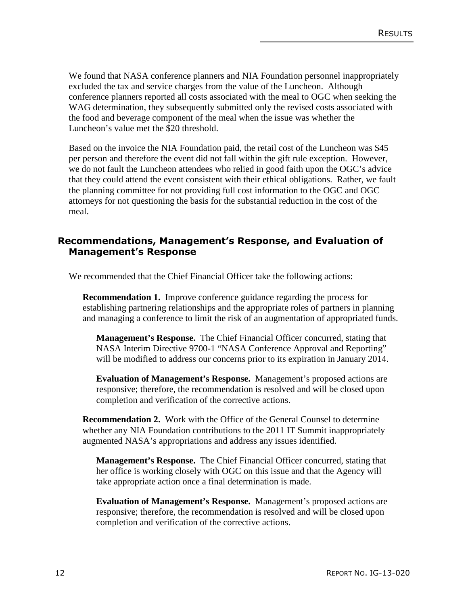We found that NASA conference planners and NIA Foundation personnel inappropriately excluded the tax and service charges from the value of the Luncheon. Although conference planners reported all costs associated with the meal to OGC when seeking the WAG determination, they subsequently submitted only the revised costs associated with the food and beverage component of the meal when the issue was whether the Luncheon's value met the \$20 threshold.

Based on the invoice the NIA Foundation paid, the retail cost of the Luncheon was \$45 per person and therefore the event did not fall within the gift rule exception. However, we do not fault the Luncheon attendees who relied in good faith upon the OGC's advice that they could attend the event consistent with their ethical obligations. Rather, we fault the planning committee for not providing full cost information to the OGC and OGC attorneys for not questioning the basis for the substantial reduction in the cost of the meal.

#### **Recommendations, Management's Response, and Evaluation of Management's Response**

We recommended that the Chief Financial Officer take the following actions:

**Recommendation 1.** Improve conference guidance regarding the process for establishing partnering relationships and the appropriate roles of partners in planning and managing a conference to limit the risk of an augmentation of appropriated funds.

**Management's Response.** The Chief Financial Officer concurred, stating that NASA Interim Directive 9700-1 "NASA Conference Approval and Reporting" will be modified to address our concerns prior to its expiration in January 2014.

**Evaluation of Management's Response.** Management's proposed actions are responsive; therefore, the recommendation is resolved and will be closed upon completion and verification of the corrective actions.

**Recommendation 2.** Work with the Office of the General Counsel to determine whether any NIA Foundation contributions to the 2011 IT Summit inappropriately augmented NASA's appropriations and address any issues identified.

**Management's Response.** The Chief Financial Officer concurred, stating that her office is working closely with OGC on this issue and that the Agency will take appropriate action once a final determination is made.

**Evaluation of Management's Response.** Management's proposed actions are responsive; therefore, the recommendation is resolved and will be closed upon completion and verification of the corrective actions.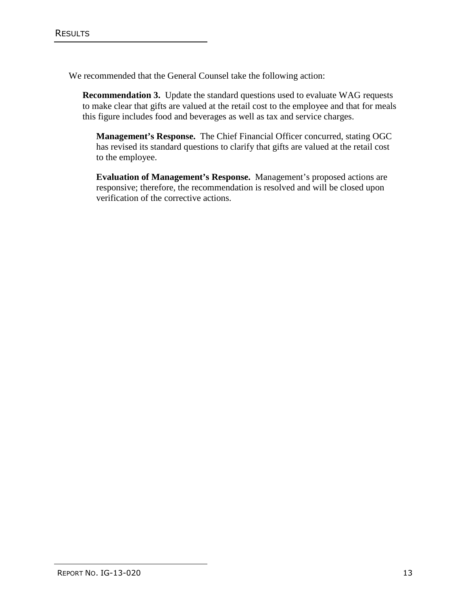We recommended that the General Counsel take the following action:

**Recommendation 3.** Update the standard questions used to evaluate WAG requests to make clear that gifts are valued at the retail cost to the employee and that for meals this figure includes food and beverages as well as tax and service charges.

**Management's Response.** The Chief Financial Officer concurred, stating OGC has revised its standard questions to clarify that gifts are valued at the retail cost to the employee.

**Evaluation of Management's Response.** Management's proposed actions are responsive; therefore, the recommendation is resolved and will be closed upon verification of the corrective actions.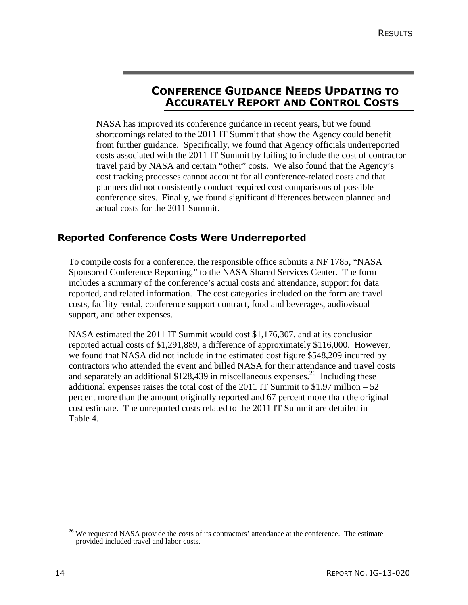## **CONFERENCE GUIDANCE NEEDS UPDATING TO ACCURATELY REPORT AND CONTROL COSTS**

NASA has improved its conference guidance in recent years, but we found shortcomings related to the 2011 IT Summit that show the Agency could benefit from further guidance. Specifically, we found that Agency officials underreported costs associated with the 2011 IT Summit by failing to include the cost of contractor travel paid by NASA and certain "other" costs. We also found that the Agency's cost tracking processes cannot account for all conference-related costs and that planners did not consistently conduct required cost comparisons of possible conference sites. Finally, we found significant differences between planned and actual costs for the 2011 Summit.

#### **Reported Conference Costs Were Underreported**

To compile costs for a conference, the responsible office submits a NF 1785, "NASA Sponsored Conference Reporting," to the NASA Shared Services Center. The form includes a summary of the conference's actual costs and attendance, support for data reported, and related information. The cost categories included on the form are travel costs, facility rental, conference support contract, food and beverages, audiovisual support, and other expenses.

NASA estimated the 2011 IT Summit would cost \$1,176,307, and at its conclusion reported actual costs of \$1,291,889, a difference of approximately \$116,000. However, we found that NASA did not include in the estimated cost figure \$548,209 incurred by contractors who attended the event and billed NASA for their attendance and travel costs and separately an additional \$128,439 in miscellaneous expenses.<sup>26</sup> Including these additional expenses raises the total cost of the 2011 IT Summit to  $$1.97$  million  $-52$ percent more than the amount originally reported and 67 percent more than the original cost estimate. The unreported costs related to the 2011 IT Summit are detailed in Table 4.

 $\frac{1}{2}$ <sup>26</sup> We requested NASA provide the costs of its contractors' attendance at the conference. The estimate provided included travel and labor costs.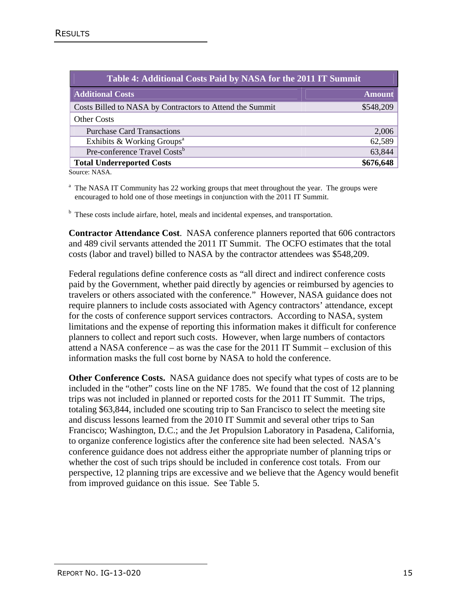| Table 4: Additional Costs Paid by NASA for the 2011 IT Summit |               |
|---------------------------------------------------------------|---------------|
| <b>Additional Costs</b>                                       | <b>Amount</b> |
| Costs Billed to NASA by Contractors to Attend the Summit      | \$548,209     |
| <b>Other Costs</b>                                            |               |
| <b>Purchase Card Transactions</b>                             | 2,006         |
| Exhibits & Working Groups <sup>a</sup>                        | 62,589        |
| Pre-conference Travel Costs <sup>b</sup>                      | 63,844        |
| <b>Total Underreported Costs</b>                              | \$676,648     |

Source: NASA.

 $a<sup>a</sup>$  The NASA IT Community has 22 working groups that meet throughout the year. The groups were encouraged to hold one of those meetings in conjunction with the 2011 IT Summit.

 $<sup>b</sup>$  These costs include airfare, hotel, meals and incidental expenses, and transportation.</sup>

**Contractor Attendance Cost**. NASA conference planners reported that 606 contractors and 489 civil servants attended the 2011 IT Summit. The OCFO estimates that the total costs (labor and travel) billed to NASA by the contractor attendees was \$548,209.

Federal regulations define conference costs as "all direct and indirect conference costs paid by the Government, whether paid directly by agencies or reimbursed by agencies to travelers or others associated with the conference." However, NASA guidance does not require planners to include costs associated with Agency contractors' attendance, except for the costs of conference support services contractors. According to NASA, system limitations and the expense of reporting this information makes it difficult for conference planners to collect and report such costs. However, when large numbers of contactors attend a NASA conference – as was the case for the 2011 IT Summit – exclusion of this information masks the full cost borne by NASA to hold the conference.

**Other Conference Costs.** NASA guidance does not specify what types of costs are to be included in the "other" costs line on the NF 1785. We found that the cost of 12 planning trips was not included in planned or reported costs for the 2011 IT Summit. The trips, totaling \$63,844, included one scouting trip to San Francisco to select the meeting site and discuss lessons learned from the 2010 IT Summit and several other trips to San Francisco; Washington, D.C.; and the Jet Propulsion Laboratory in Pasadena, California, to organize conference logistics after the conference site had been selected. NASA's conference guidance does not address either the appropriate number of planning trips or whether the cost of such trips should be included in conference cost totals. From our perspective, 12 planning trips are excessive and we believe that the Agency would benefit from improved guidance on this issue. See Table 5.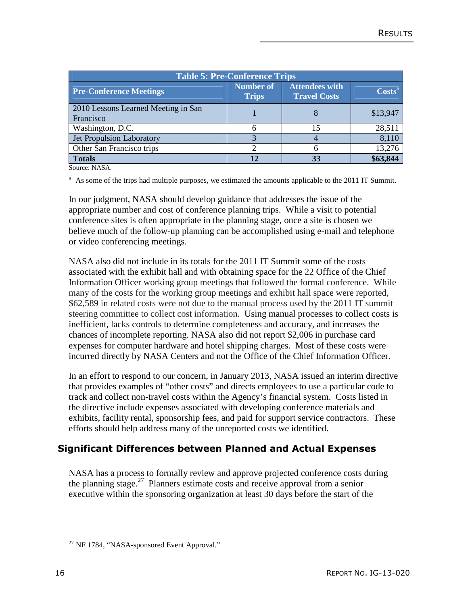| <b>Table 5: Pre-Conference Trips</b>             |                                  |                                              |                  |  |
|--------------------------------------------------|----------------------------------|----------------------------------------------|------------------|--|
| <b>Pre-Conference Meetings</b>                   | <b>Number of</b><br><b>Trips</b> | <b>Attendees with</b><br><b>Travel Costs</b> | $\text{Costs}^a$ |  |
| 2010 Lessons Learned Meeting in San<br>Francisco |                                  |                                              | \$13,947         |  |
| Washington, D.C.                                 |                                  | 15                                           | 28,511           |  |
| Jet Propulsion Laboratory                        |                                  |                                              | 8,110            |  |
| Other San Francisco trips                        |                                  |                                              | 13,276           |  |
| <b>Totals</b>                                    |                                  |                                              | \$63,844         |  |

Source: NASA.

 $A<sup>a</sup>$  As some of the trips had multiple purposes, we estimated the amounts applicable to the 2011 IT Summit.

In our judgment, NASA should develop guidance that addresses the issue of the appropriate number and cost of conference planning trips. While a visit to potential conference sites is often appropriate in the planning stage, once a site is chosen we believe much of the follow-up planning can be accomplished using e-mail and telephone or video conferencing meetings.

NASA also did not include in its totals for the 2011 IT Summit some of the costs associated with the exhibit hall and with obtaining space for the 22 Office of the Chief Information Officer working group meetings that followed the formal conference. While many of the costs for the working group meetings and exhibit hall space were reported, \$62,589 in related costs were not due to the manual process used by the 2011 IT summit steering committee to collect cost information. Using manual processes to collect costs is inefficient, lacks controls to determine completeness and accuracy, and increases the chances of incomplete reporting. NASA also did not report \$2,006 in purchase card expenses for computer hardware and hotel shipping charges. Most of these costs were incurred directly by NASA Centers and not the Office of the Chief Information Officer.

In an effort to respond to our concern, in January 2013, NASA issued an interim directive that provides examples of "other costs" and directs employees to use a particular code to track and collect non-travel costs within the Agency's financial system. Costs listed in the directive include expenses associated with developing conference materials and exhibits, facility rental, sponsorship fees, and paid for support service contractors. These efforts should help address many of the unreported costs we identified.

#### **Significant Differences between Planned and Actual Expenses**

NASA has a process to formally review and approve projected conference costs during the planning stage.<sup>27</sup> Planners estimate costs and receive approval from a senior executive within the sponsoring organization at least 30 days before the start of the

 $\frac{1}{2}$  $^{27}$  NF 1784, "NASA-sponsored Event Approval."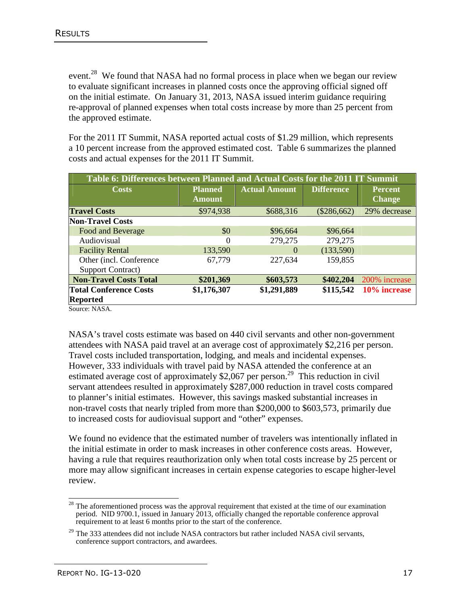event.<sup>28</sup> We found that NASA had no formal process in place when we began our review to evaluate significant increases in planned costs once the approving official signed off on the initial estimate. On January 31, 2013, NASA issued interim guidance requiring re-approval of planned expenses when total costs increase by more than 25 percent from the approved estimate.

For the 2011 IT Summit, NASA reported actual costs of \$1.29 million, which represents a 10 percent increase from the approved estimated cost. Table 6 summarizes the planned costs and actual expenses for the 2011 IT Summit.

| Table 6: Differences between Planned and Actual Costs for the 2011 IT Summit |                                 |                      |                   |                                 |
|------------------------------------------------------------------------------|---------------------------------|----------------------|-------------------|---------------------------------|
| <b>Costs</b>                                                                 | <b>Planned</b><br><b>Amount</b> | <b>Actual Amount</b> | <b>Difference</b> | <b>Percent</b><br><b>Change</b> |
| <b>Travel Costs</b>                                                          | \$974,938                       | \$688,316            | $(\$286,662)$     | 29% decrease                    |
| <b>Non-Travel Costs</b>                                                      |                                 |                      |                   |                                 |
| Food and Beverage                                                            | \$0                             | \$96,664             | \$96,664          |                                 |
| Audiovisual                                                                  | $\theta$                        | 279,275              | 279,275           |                                 |
| <b>Facility Rental</b>                                                       | 133,590                         | $\Omega$             | (133,590)         |                                 |
| Other (incl. Conference)<br><b>Support Contract</b> )                        | 67,779                          | 227,634              | 159,855           |                                 |
| <b>Non-Travel Costs Total</b>                                                | \$201,369                       | \$603,573            | \$402,204         | 200% increase                   |
| <b>Total Conference Costs</b><br><b>Reported</b>                             | \$1,176,307                     | \$1,291,889          | \$115,542         | 10% increase                    |

Source: NASA.

NASA's travel costs estimate was based on 440 civil servants and other non-government attendees with NASA paid travel at an average cost of approximately \$2,216 per person. Travel costs included transportation, lodging, and meals and incidental expenses. However, 333 individuals with travel paid by NASA attended the conference at an estimated average cost of approximately \$2,067 per person.<sup>29</sup> This reduction in civil servant attendees resulted in approximately \$287,000 reduction in travel costs compared to planner's initial estimates. However, this savings masked substantial increases in non-travel costs that nearly tripled from more than \$200,000 to \$603,573, primarily due to increased costs for audiovisual support and "other" expenses.

We found no evidence that the estimated number of travelers was intentionally inflated in the initial estimate in order to mask increases in other conference costs areas. However, having a rule that requires reauthorization only when total costs increase by 25 percent or more may allow significant increases in certain expense categories to escape higher-level review.

 $\frac{1}{2}$  $28$  The aforementioned process was the approval requirement that existed at the time of our examination period. NID 9700.1, issued in January 2013, officially changed the reportable conference approval requirement to at least 6 months prior to the start of the conference.

<sup>&</sup>lt;sup>29</sup> The 333 attendees did not include NASA contractors but rather included NASA civil servants, conference support contractors, and awardees.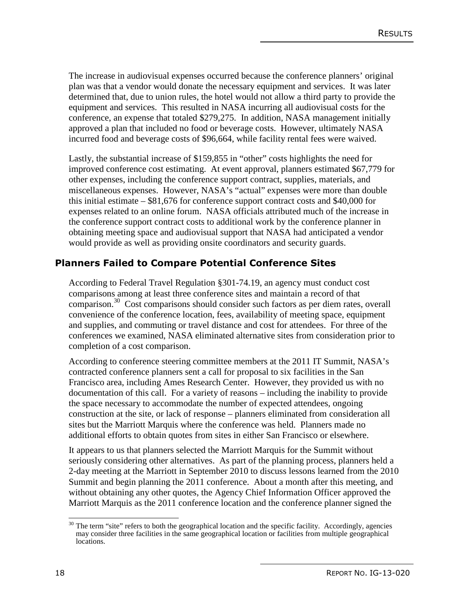The increase in audiovisual expenses occurred because the conference planners' original plan was that a vendor would donate the necessary equipment and services. It was later determined that, due to union rules, the hotel would not allow a third party to provide the equipment and services. This resulted in NASA incurring all audiovisual costs for the conference, an expense that totaled \$279,275. In addition, NASA management initially approved a plan that included no food or beverage costs. However, ultimately NASA incurred food and beverage costs of \$96,664, while facility rental fees were waived.

Lastly, the substantial increase of \$159,855 in "other" costs highlights the need for improved conference cost estimating. At event approval, planners estimated \$67,779 for other expenses, including the conference support contract, supplies, materials, and miscellaneous expenses. However, NASA's "actual" expenses were more than double this initial estimate – \$81,676 for conference support contract costs and \$40,000 for expenses related to an online forum. NASA officials attributed much of the increase in the conference support contract costs to additional work by the conference planner in obtaining meeting space and audiovisual support that NASA had anticipated a vendor would provide as well as providing onsite coordinators and security guards.

#### **Planners Failed to Compare Potential Conference Sites**

According to Federal Travel Regulation §301-74.19, an agency must conduct cost comparisons among at least three conference sites and maintain a record of that comparison.<sup>30</sup> Cost comparisons should consider such factors as per diem rates, overall convenience of the conference location, fees, availability of meeting space, equipment and supplies, and commuting or travel distance and cost for attendees. For three of the conferences we examined, NASA eliminated alternative sites from consideration prior to completion of a cost comparison.

According to conference steering committee members at the 2011 IT Summit, NASA's contracted conference planners sent a call for proposal to six facilities in the San Francisco area, including Ames Research Center. However, they provided us with no documentation of this call. For a variety of reasons – including the inability to provide the space necessary to accommodate the number of expected attendees, ongoing construction at the site, or lack of response – planners eliminated from consideration all sites but the Marriott Marquis where the conference was held. Planners made no additional efforts to obtain quotes from sites in either San Francisco or elsewhere.

It appears to us that planners selected the Marriott Marquis for the Summit without seriously considering other alternatives. As part of the planning process, planners held a 2-day meeting at the Marriott in September 2010 to discuss lessons learned from the 2010 Summit and begin planning the 2011 conference. About a month after this meeting, and without obtaining any other quotes, the Agency Chief Information Officer approved the Marriott Marquis as the 2011 conference location and the conference planner signed the

 $\overline{\phantom{a}}$  $30$  The term "site" refers to both the geographical location and the specific facility. Accordingly, agencies may consider three facilities in the same geographical location or facilities from multiple geographical locations.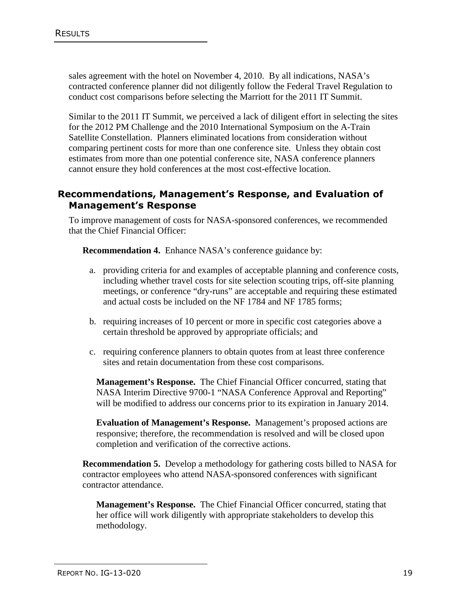sales agreement with the hotel on November 4, 2010. By all indications, NASA's contracted conference planner did not diligently follow the Federal Travel Regulation to conduct cost comparisons before selecting the Marriott for the 2011 IT Summit.

Similar to the 2011 IT Summit, we perceived a lack of diligent effort in selecting the sites for the 2012 PM Challenge and the 2010 International Symposium on the A-Train Satellite Constellation. Planners eliminated locations from consideration without comparing pertinent costs for more than one conference site. Unless they obtain cost estimates from more than one potential conference site, NASA conference planners cannot ensure they hold conferences at the most cost-effective location.

#### **Recommendations, Management's Response, and Evaluation of Management's Response**

To improve management of costs for NASA-sponsored conferences, we recommended that the Chief Financial Officer:

**Recommendation 4.** Enhance NASA's conference guidance by:

- a. providing criteria for and examples of acceptable planning and conference costs, including whether travel costs for site selection scouting trips, off-site planning meetings, or conference "dry-runs" are acceptable and requiring these estimated and actual costs be included on the NF 1784 and NF 1785 forms;
- b. requiring increases of 10 percent or more in specific cost categories above a certain threshold be approved by appropriate officials; and
- c. requiring conference planners to obtain quotes from at least three conference sites and retain documentation from these cost comparisons.

**Management's Response.** The Chief Financial Officer concurred, stating that NASA Interim Directive 9700-1 "NASA Conference Approval and Reporting" will be modified to address our concerns prior to its expiration in January 2014.

**Evaluation of Management's Response.** Management's proposed actions are responsive; therefore, the recommendation is resolved and will be closed upon completion and verification of the corrective actions.

**Recommendation 5.** Develop a methodology for gathering costs billed to NASA for contractor employees who attend NASA-sponsored conferences with significant contractor attendance.

**Management's Response.** The Chief Financial Officer concurred, stating that her office will work diligently with appropriate stakeholders to develop this methodology.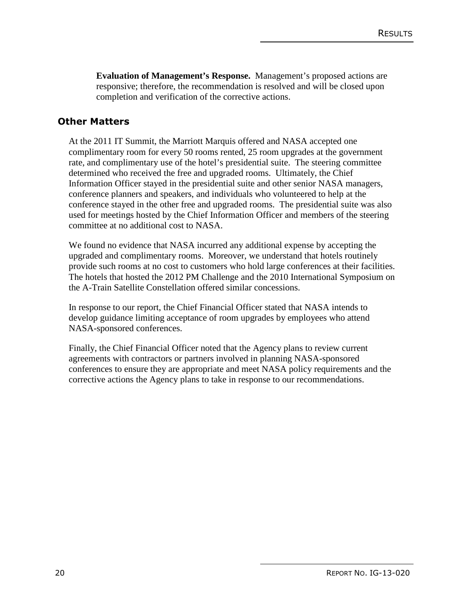**Evaluation of Management's Response.** Management's proposed actions are responsive; therefore, the recommendation is resolved and will be closed upon completion and verification of the corrective actions.

#### **Other Matters**

At the 2011 IT Summit, the Marriott Marquis offered and NASA accepted one complimentary room for every 50 rooms rented, 25 room upgrades at the government rate, and complimentary use of the hotel's presidential suite. The steering committee determined who received the free and upgraded rooms. Ultimately, the Chief Information Officer stayed in the presidential suite and other senior NASA managers, conference planners and speakers, and individuals who volunteered to help at the conference stayed in the other free and upgraded rooms. The presidential suite was also used for meetings hosted by the Chief Information Officer and members of the steering committee at no additional cost to NASA.

We found no evidence that NASA incurred any additional expense by accepting the upgraded and complimentary rooms. Moreover, we understand that hotels routinely provide such rooms at no cost to customers who hold large conferences at their facilities. The hotels that hosted the 2012 PM Challenge and the 2010 International Symposium on the A-Train Satellite Constellation offered similar concessions.

In response to our report, the Chief Financial Officer stated that NASA intends to develop guidance limiting acceptance of room upgrades by employees who attend NASA-sponsored conferences.

Finally, the Chief Financial Officer noted that the Agency plans to review current agreements with contractors or partners involved in planning NASA-sponsored conferences to ensure they are appropriate and meet NASA policy requirements and the corrective actions the Agency plans to take in response to our recommendations.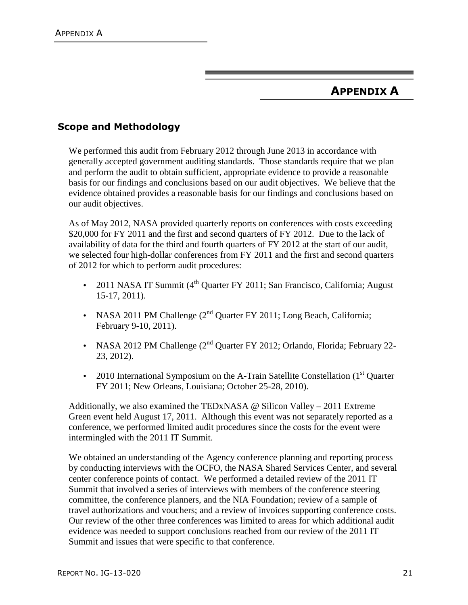## **APPENDIX A**

### **Scope and Methodology**

We performed this audit from February 2012 through June 2013 in accordance with generally accepted government auditing standards. Those standards require that we plan and perform the audit to obtain sufficient, appropriate evidence to provide a reasonable basis for our findings and conclusions based on our audit objectives. We believe that the evidence obtained provides a reasonable basis for our findings and conclusions based on our audit objectives.

As of May 2012, NASA provided quarterly reports on conferences with costs exceeding \$20,000 for FY 2011 and the first and second quarters of FY 2012. Due to the lack of availability of data for the third and fourth quarters of FY 2012 at the start of our audit, we selected four high-dollar conferences from FY 2011 and the first and second quarters of 2012 for which to perform audit procedures:

- 2011 NASA IT Summit  $(4^{th}$  Quarter FY 2011; San Francisco, California; August 15-17, 2011).
- NASA 2011 PM Challenge  $(2^{nd}$  Quarter FY 2011; Long Beach, California; February 9-10, 2011).
- NASA 2012 PM Challenge (2<sup>nd</sup> Quarter FY 2012; Orlando, Florida; February 22-23, 2012).
- 2010 International Symposium on the A-Train Satellite Constellation (1<sup>st</sup> Quarter FY 2011; New Orleans, Louisiana; October 25-28, 2010).

Additionally, we also examined the TEDxNASA  $\omega$  Silicon Valley – 2011 Extreme Green event held August 17, 2011. Although this event was not separately reported as a conference, we performed limited audit procedures since the costs for the event were intermingled with the 2011 IT Summit.

We obtained an understanding of the Agency conference planning and reporting process by conducting interviews with the OCFO, the NASA Shared Services Center, and several center conference points of contact. We performed a detailed review of the 2011 IT Summit that involved a series of interviews with members of the conference steering committee, the conference planners, and the NIA Foundation; review of a sample of travel authorizations and vouchers; and a review of invoices supporting conference costs. Our review of the other three conferences was limited to areas for which additional audit evidence was needed to support conclusions reached from our review of the 2011 IT Summit and issues that were specific to that conference.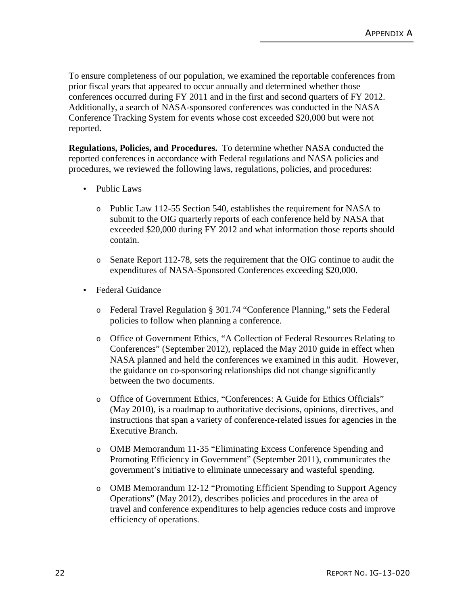To ensure completeness of our population, we examined the reportable conferences from prior fiscal years that appeared to occur annually and determined whether those conferences occurred during FY 2011 and in the first and second quarters of FY 2012. Additionally, a search of NASA-sponsored conferences was conducted in the NASA Conference Tracking System for events whose cost exceeded \$20,000 but were not reported.

**Regulations, Policies, and Procedures.** To determine whether NASA conducted the reported conferences in accordance with Federal regulations and NASA policies and procedures, we reviewed the following laws, regulations, policies, and procedures:

- Public Laws
	- o Public Law 112-55 Section 540, establishes the requirement for NASA to submit to the OIG quarterly reports of each conference held by NASA that exceeded \$20,000 during FY 2012 and what information those reports should contain.
	- o Senate Report 112-78, sets the requirement that the OIG continue to audit the expenditures of NASA-Sponsored Conferences exceeding \$20,000.
- Federal Guidance
	- o Federal Travel Regulation § 301.74 "Conference Planning," sets the Federal policies to follow when planning a conference.
	- o Office of Government Ethics, "A Collection of Federal Resources Relating to Conferences" (September 2012), replaced the May 2010 guide in effect when NASA planned and held the conferences we examined in this audit. However, the guidance on co-sponsoring relationships did not change significantly between the two documents.
	- o Office of Government Ethics, "Conferences: A Guide for Ethics Officials" (May 2010), is a roadmap to authoritative decisions, opinions, directives, and instructions that span a variety of conference-related issues for agencies in the Executive Branch.
	- o OMB Memorandum 11-35 "Eliminating Excess Conference Spending and Promoting Efficiency in Government" (September 2011), communicates the government's initiative to eliminate unnecessary and wasteful spending.
	- o OMB Memorandum 12-12 "Promoting Efficient Spending to Support Agency Operations" (May 2012), describes policies and procedures in the area of travel and conference expenditures to help agencies reduce costs and improve efficiency of operations.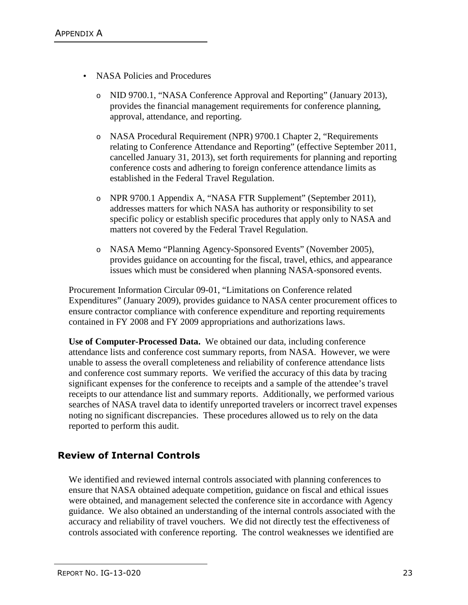- NASA Policies and Procedures
	- o NID 9700.1, "NASA Conference Approval and Reporting" (January 2013), provides the financial management requirements for conference planning, approval, attendance, and reporting.
	- o NASA Procedural Requirement (NPR) 9700.1 Chapter 2, "Requirements relating to Conference Attendance and Reporting" (effective September 2011, cancelled January 31, 2013), set forth requirements for planning and reporting conference costs and adhering to foreign conference attendance limits as established in the Federal Travel Regulation.
	- o NPR 9700.1 Appendix A, "NASA FTR Supplement" (September 2011), addresses matters for which NASA has authority or responsibility to set specific policy or establish specific procedures that apply only to NASA and matters not covered by the Federal Travel Regulation.
	- o NASA Memo "Planning Agency-Sponsored Events" (November 2005), provides guidance on accounting for the fiscal, travel, ethics, and appearance issues which must be considered when planning NASA-sponsored events.

Procurement Information Circular 09-01, "Limitations on Conference related Expenditures" (January 2009), provides guidance to NASA center procurement offices to ensure contractor compliance with conference expenditure and reporting requirements contained in FY 2008 and FY 2009 appropriations and authorizations laws.

**Use of Computer-Processed Data.** We obtained our data, including conference attendance lists and conference cost summary reports, from NASA. However, we were unable to assess the overall completeness and reliability of conference attendance lists and conference cost summary reports. We verified the accuracy of this data by tracing significant expenses for the conference to receipts and a sample of the attendee's travel receipts to our attendance list and summary reports. Additionally, we performed various searches of NASA travel data to identify unreported travelers or incorrect travel expenses noting no significant discrepancies. These procedures allowed us to rely on the data reported to perform this audit.

## **Review of Internal Controls**

We identified and reviewed internal controls associated with planning conferences to ensure that NASA obtained adequate competition, guidance on fiscal and ethical issues were obtained, and management selected the conference site in accordance with Agency guidance. We also obtained an understanding of the internal controls associated with the accuracy and reliability of travel vouchers. We did not directly test the effectiveness of controls associated with conference reporting. The control weaknesses we identified are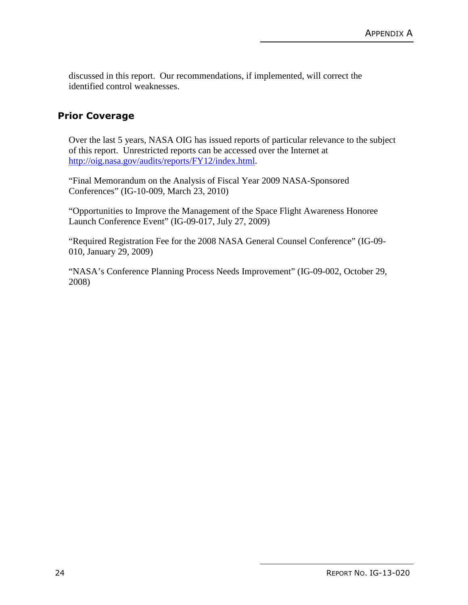discussed in this report. Our recommendations, if implemented, will correct the identified control weaknesses.

#### **Prior Coverage**

Over the last 5 years, NASA OIG has issued reports of particular relevance to the subject of this report. Unrestricted reports can be accessed over the Internet at http://oig.nasa.gov/audits/reports/FY12/index.html.

"Final Memorandum on the Analysis of Fiscal Year 2009 NASA-Sponsored Conferences" (IG-10-009, March 23, 2010)

"Opportunities to Improve the Management of the Space Flight Awareness Honoree Launch Conference Event" (IG-09-017, July 27, 2009)

"Required Registration Fee for the 2008 NASA General Counsel Conference" (IG-09- 010, January 29, 2009)

"NASA's Conference Planning Process Needs Improvement" (IG-09-002, October 29, 2008)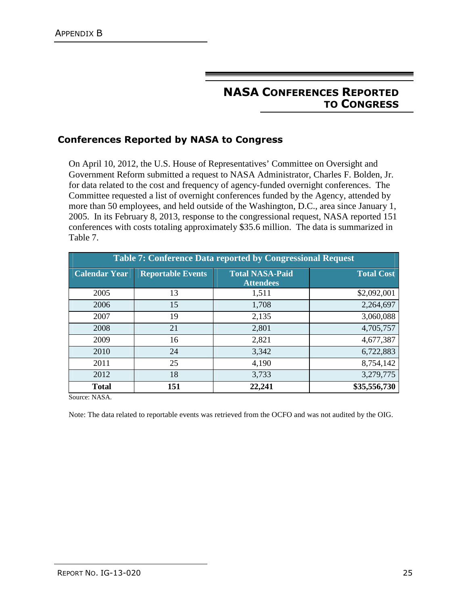## **NASA CONFERENCES REPORTED TO CONGRESS**

#### **Conferences Reported by NASA to Congress**

On April 10, 2012, the U.S. House of Representatives' Committee on Oversight and Government Reform submitted a request to NASA Administrator, Charles F. Bolden, Jr. for data related to the cost and frequency of agency-funded overnight conferences. The Committee requested a list of overnight conferences funded by the Agency, attended by more than 50 employees, and held outside of the Washington, D.C., area since January 1, 2005. In its February 8, 2013, response to the congressional request, NASA reported 151 conferences with costs totaling approximately \$35.6 million. The data is summarized in Table 7.

| <b>Table 7: Conference Data reported by Congressional Request</b> |                          |                                            |                   |  |
|-------------------------------------------------------------------|--------------------------|--------------------------------------------|-------------------|--|
| <b>Calendar Year</b>                                              | <b>Reportable Events</b> | <b>Total NASA-Paid</b><br><b>Attendees</b> | <b>Total Cost</b> |  |
| 2005                                                              | 13                       | 1,511                                      | \$2,092,001       |  |
| 2006                                                              | 15                       | 1,708                                      | 2,264,697         |  |
| 2007                                                              | 19                       | 2,135                                      | 3,060,088         |  |
| 2008                                                              | 21                       | 2,801                                      | 4,705,757         |  |
| 2009                                                              | 16                       | 2,821                                      | 4,677,387         |  |
| 2010                                                              | 24                       | 3,342                                      | 6,722,883         |  |
| 2011                                                              | 25                       | 4,190                                      | 8,754,142         |  |
| 2012                                                              | 18                       | 3,733                                      | 3,279,775         |  |
| <b>Total</b>                                                      | 151                      | 22,241                                     | \$35,556,730      |  |

Source: NASA.

Note: The data related to reportable events was retrieved from the OCFO and was not audited by the OIG.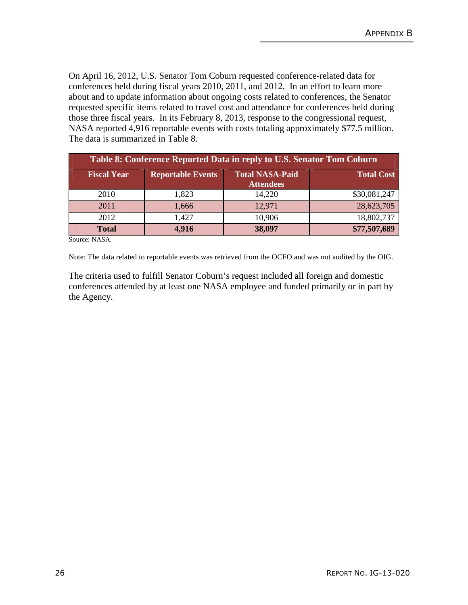On April 16, 2012, U.S. Senator Tom Coburn requested conference-related data for conferences held during fiscal years 2010, 2011, and 2012. In an effort to learn more about and to update information about ongoing costs related to conferences, the Senator requested specific items related to travel cost and attendance for conferences held during those three fiscal years. In its February 8, 2013, response to the congressional request, NASA reported 4,916 reportable events with costs totaling approximately \$77.5 million. The data is summarized in Table 8.

| Table 8: Conference Reported Data in reply to U.S. Senator Tom Coburn |                          |                                            |                   |  |
|-----------------------------------------------------------------------|--------------------------|--------------------------------------------|-------------------|--|
| <b>Fiscal Year</b>                                                    | <b>Reportable Events</b> | <b>Total NASA-Paid</b><br><b>Attendees</b> | <b>Total Cost</b> |  |
| 2010                                                                  | 1,823                    | 14,220                                     | \$30,081,247      |  |
| 2011                                                                  | 1,666                    | 12,971                                     | 28,623,705        |  |
| 2012                                                                  | 1,427                    | 10,906                                     | 18,802,737        |  |
| <b>Total</b>                                                          | 4,916                    | 38,097                                     | \$77,507,689      |  |

Source: NASA.

Note: The data related to reportable events was retrieved from the OCFO and was not audited by the OIG.

The criteria used to fulfill Senator Coburn's request included all foreign and domestic conferences attended by at least one NASA employee and funded primarily or in part by the Agency.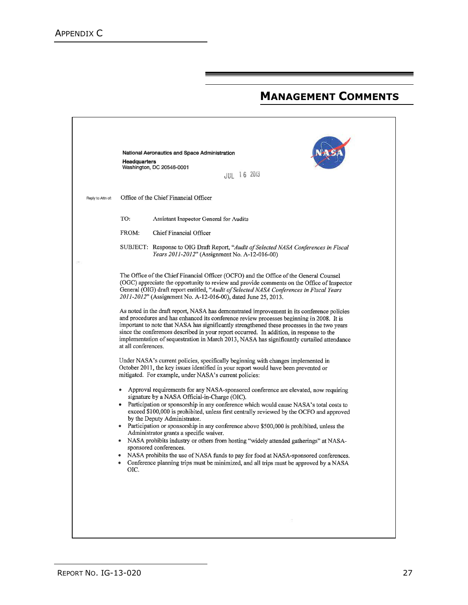## **MANAGEMENT COMMENTS**

|                   | National Aeronautics and Space Administration<br><b>Headquarters</b><br>Washington, DC 20546-0001<br>JUL 16 2013                                                                                                                                                                                                                                                                                                                                                                                                                                                                                                                                                                                                                                                                                                |
|-------------------|-----------------------------------------------------------------------------------------------------------------------------------------------------------------------------------------------------------------------------------------------------------------------------------------------------------------------------------------------------------------------------------------------------------------------------------------------------------------------------------------------------------------------------------------------------------------------------------------------------------------------------------------------------------------------------------------------------------------------------------------------------------------------------------------------------------------|
| Reply to Attn of: | Office of the Chief Financial Officer                                                                                                                                                                                                                                                                                                                                                                                                                                                                                                                                                                                                                                                                                                                                                                           |
|                   | TO:<br>Assistant Inspector General for Audits                                                                                                                                                                                                                                                                                                                                                                                                                                                                                                                                                                                                                                                                                                                                                                   |
|                   | FROM:<br>Chief Financial Officer                                                                                                                                                                                                                                                                                                                                                                                                                                                                                                                                                                                                                                                                                                                                                                                |
|                   | SUBJECT: Response to OIG Draft Report, "Audit of Selected NASA Conferences in Fiscal<br>Years 2011-2012" (Assignment No. A-12-016-00)                                                                                                                                                                                                                                                                                                                                                                                                                                                                                                                                                                                                                                                                           |
|                   | The Office of the Chief Financial Officer (OCFO) and the Office of the General Counsel<br>(OGC) appreciate the opportunity to review and provide comments on the Office of Inspector<br>General (OIG) draft report entitled, "Audit of Selected NASA Conferences in Fiscal Years<br>2011-2012" (Assignment No. A-12-016-00), dated June 25, 2013.                                                                                                                                                                                                                                                                                                                                                                                                                                                               |
|                   | As noted in the draft report, NASA has demonstrated improvement in its conference policies<br>and procedures and has enhanced its conference review processes beginning in 2008. It is<br>important to note that NASA has significantly strengthened these processes in the two years<br>since the conferences described in your report occurred. In addition, in response to the<br>implementation of sequestration in March 2013, NASA has significantly curtailed attendance<br>at all conferences.                                                                                                                                                                                                                                                                                                          |
|                   | Under NASA's current policies, specifically beginning with changes implemented in<br>October 2011, the key issues identified in your report would have been prevented or<br>mitigated. For example, under NASA's current policies:                                                                                                                                                                                                                                                                                                                                                                                                                                                                                                                                                                              |
|                   | Approval requirements for any NASA-sponsored conference are elevated, now requiring<br>signature by a NASA Official-in-Charge (OIC).<br>Participation or sponsorship in any conference which would cause NASA's total costs to<br>exceed \$100,000 is prohibited, unless first centrally reviewed by the OCFO and approved<br>by the Deputy Administrator.<br>• Participation or sponsorship in any conference above \$500,000 is prohibited, unless the<br>Administrator grants a specific waiver.<br>• NASA prohibits industry or others from hosting "widely attended gatherings" at NASA-<br>sponsored conferences.<br>NASA prohibits the use of NASA funds to pay for food at NASA-sponsored conferences.<br>Conference planning trips must be minimized, and all trips must be approved by a NASA<br>OIC. |
|                   |                                                                                                                                                                                                                                                                                                                                                                                                                                                                                                                                                                                                                                                                                                                                                                                                                 |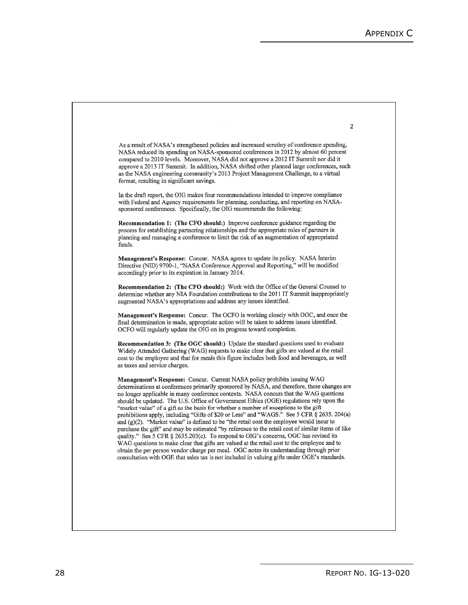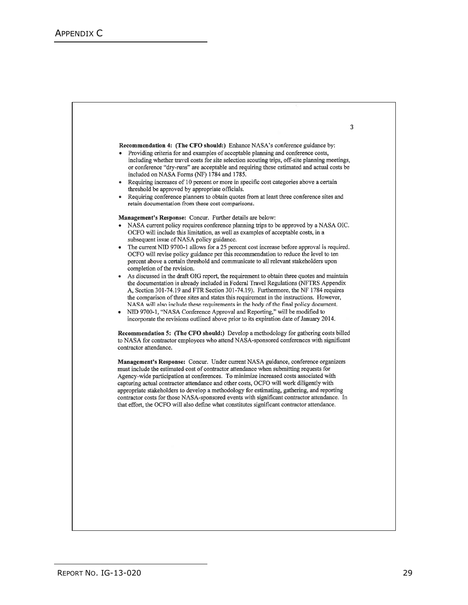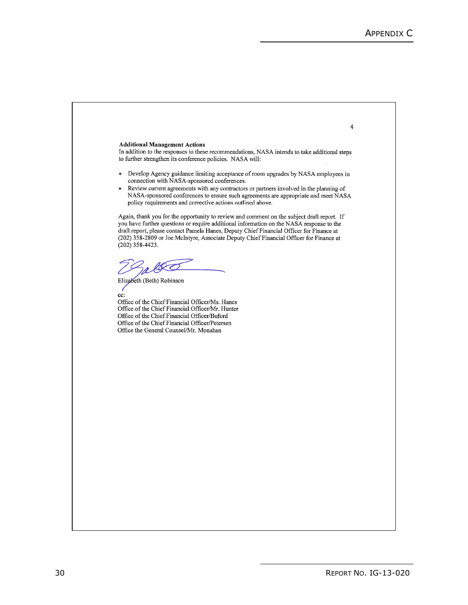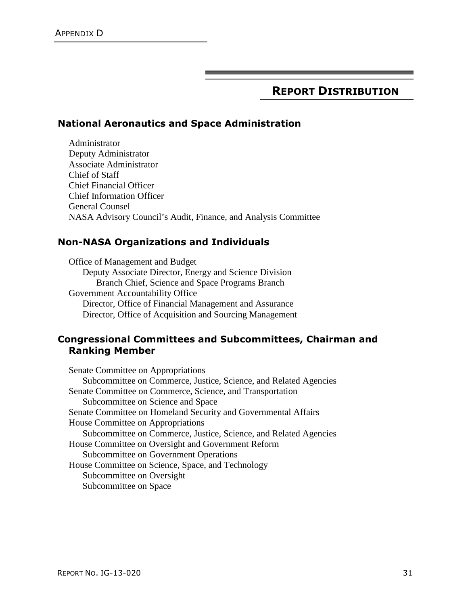## **REPORT DISTRIBUTION**

#### **National Aeronautics and Space Administration**

Administrator Deputy Administrator Associate Administrator Chief of Staff Chief Financial Officer Chief Information Officer General Counsel NASA Advisory Council's Audit, Finance, and Analysis Committee

#### **Non-NASA Organizations and Individuals**

Office of Management and Budget Deputy Associate Director, Energy and Science Division Branch Chief, Science and Space Programs Branch Government Accountability Office Director, Office of Financial Management and Assurance Director, Office of Acquisition and Sourcing Management

#### **Congressional Committees and Subcommittees, Chairman and Ranking Member**

Senate Committee on Appropriations Subcommittee on Commerce, Justice, Science, and Related Agencies Senate Committee on Commerce, Science, and Transportation Subcommittee on Science and Space Senate Committee on Homeland Security and Governmental Affairs House Committee on Appropriations Subcommittee on Commerce, Justice, Science, and Related Agencies House Committee on Oversight and Government Reform Subcommittee on Government Operations House Committee on Science, Space, and Technology Subcommittee on Oversight Subcommittee on Space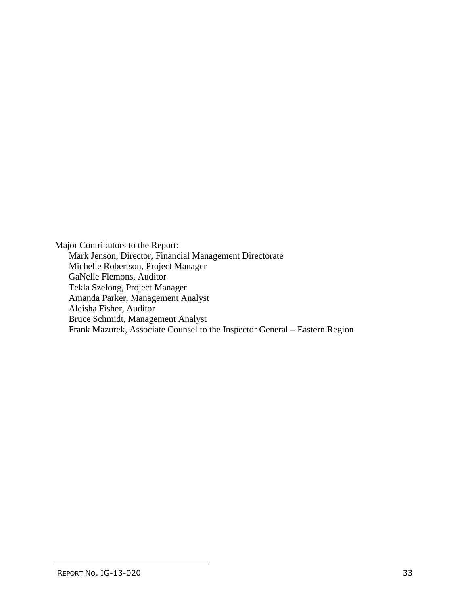Major Contributors to the Report: Mark Jenson, Director, Financial Management Directorate Michelle Robertson, Project Manager GaNelle Flemons, Auditor Tekla Szelong, Project Manager Amanda Parker, Management Analyst Aleisha Fisher, Auditor Bruce Schmidt, Management Analyst Frank Mazurek, Associate Counsel to the Inspector General – Eastern Region